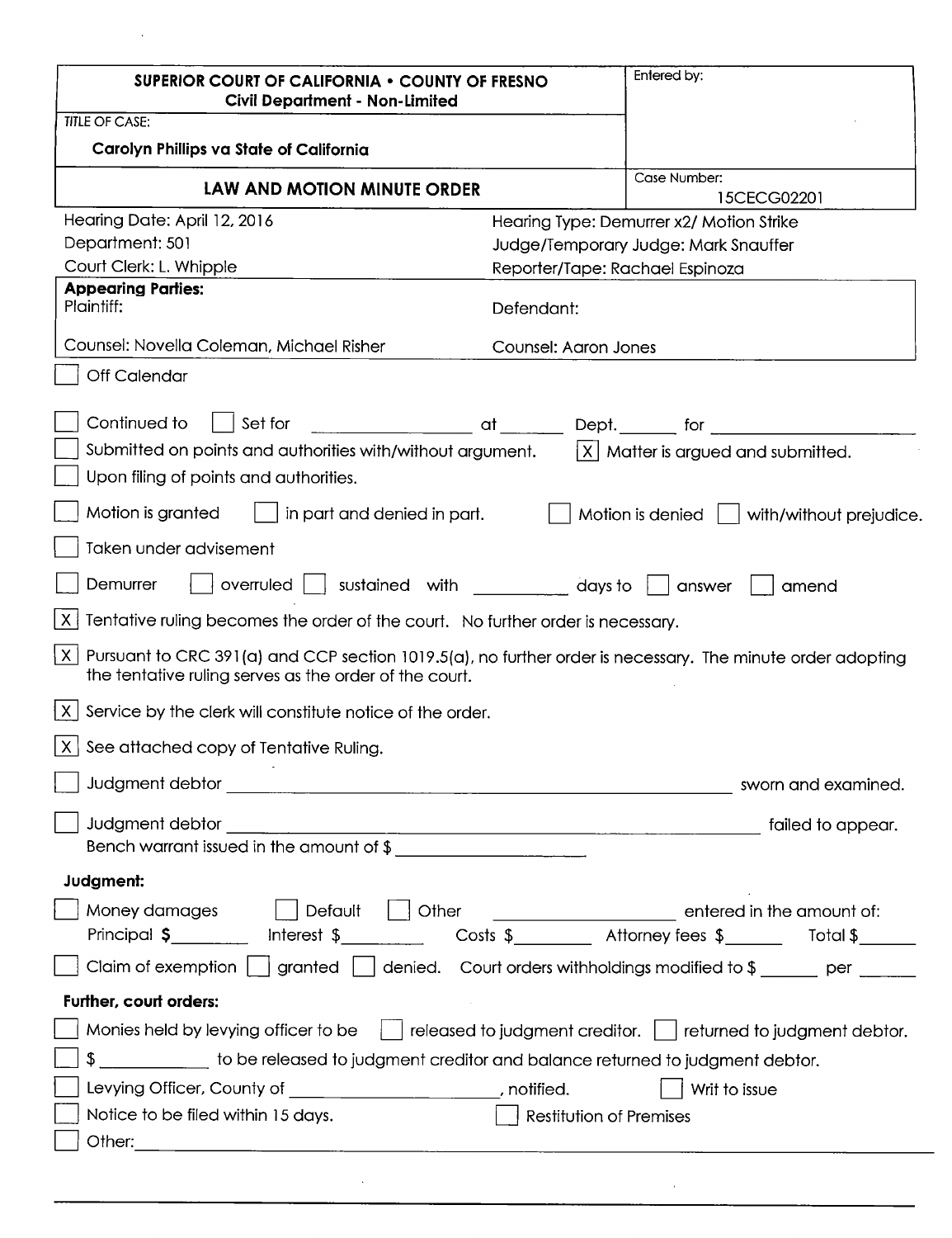| <b>SUPERIOR COURT OF CALIFORNIA • COUNTY OF FRESNO</b><br><b>Civil Department - Non-Limited</b>                                                                                         |                                 | Entered by:                                                                                                    |
|-----------------------------------------------------------------------------------------------------------------------------------------------------------------------------------------|---------------------------------|----------------------------------------------------------------------------------------------------------------|
| <b>TITLE OF CASE:</b>                                                                                                                                                                   |                                 |                                                                                                                |
| Carolyn Phillips va State of California                                                                                                                                                 |                                 |                                                                                                                |
| LAW AND MOTION MINUTE ORDER                                                                                                                                                             |                                 | Case Number:<br>15CECG02201                                                                                    |
| Hearing Date: April 12, 2016                                                                                                                                                            |                                 | Hearing Type: Demurrer x2/ Motion Strike                                                                       |
| Department: 501                                                                                                                                                                         |                                 | Judge/Temporary Judge: Mark Snauffer                                                                           |
| Court Clerk: L. Whipple                                                                                                                                                                 | Reporter/Tape: Rachael Espinoza |                                                                                                                |
| <b>Appearing Parties:</b><br>Plaintiff:                                                                                                                                                 | Defendant:                      |                                                                                                                |
| Counsel: Novella Coleman, Michael Risher                                                                                                                                                | Counsel: Aaron Jones            |                                                                                                                |
| <b>Off Calendar</b>                                                                                                                                                                     |                                 |                                                                                                                |
| Continued to<br>Set for                                                                                                                                                                 |                                 | en and the state of the bept. The formulation of the state of the state of the state of the state of the state |
| Submitted on points and authorities with/without argument.                                                                                                                              |                                 | $ X $ Matter is argued and submitted.                                                                          |
| Upon filing of points and authorities.                                                                                                                                                  |                                 |                                                                                                                |
| Motion is granted<br>in part and denied in part.                                                                                                                                        |                                 | Motion is denied  <br>with/without prejudice.                                                                  |
| Taken under advisement                                                                                                                                                                  |                                 |                                                                                                                |
| Demurrer<br>sustained with compared to a local state of the state of the state of the state of the state of the state of t<br>$overu$ led $ $<br>answer<br>amend                        |                                 |                                                                                                                |
| $\times$<br>Tentative ruling becomes the order of the court. No further order is necessary.                                                                                             |                                 |                                                                                                                |
| $\vert X \vert$<br>Pursuant to CRC 391(a) and CCP section 1019.5(a), no further order is necessary. The minute order adopting<br>the tentative ruling serves as the order of the court. |                                 |                                                                                                                |
| Service by the clerk will constitute notice of the order.<br> X                                                                                                                         |                                 |                                                                                                                |
| See attached copy of Tentative Ruling.<br>X.                                                                                                                                            |                                 |                                                                                                                |
|                                                                                                                                                                                         |                                 |                                                                                                                |
| Judgment debtor                                                                                                                                                                         |                                 |                                                                                                                |
| Bench warrant issued in the amount of \$                                                                                                                                                |                                 |                                                                                                                |
| Judgment:                                                                                                                                                                               |                                 |                                                                                                                |
| Default   Other<br>Money damages<br>Principal \$__________ lnterest \$___________ Costs \$________ Attorney fees \$______ Total \$______                                                |                                 | entered in the amount of:                                                                                      |
| Claim of exemption $\bigsqcup$ granted $\bigsqcup$ denied. Court orders withholdings modified to $\mathcal{S}$ ______ per ______                                                        |                                 |                                                                                                                |
| Further, court orders:                                                                                                                                                                  |                                 |                                                                                                                |
| Monies held by levying officer to be     released to judgment creditor.     returned to judgment debtor.                                                                                |                                 |                                                                                                                |
| \$ ___________ to be released to judgment creditor and balance returned to judgment debtor.                                                                                             |                                 |                                                                                                                |
| Levying Officer, County of ______________________, notified.                                                                                                                            |                                 | Writ to issue                                                                                                  |
| Notice to be filed within 15 days.                                                                                                                                                      | Restitution of Premises         |                                                                                                                |
|                                                                                                                                                                                         |                                 |                                                                                                                |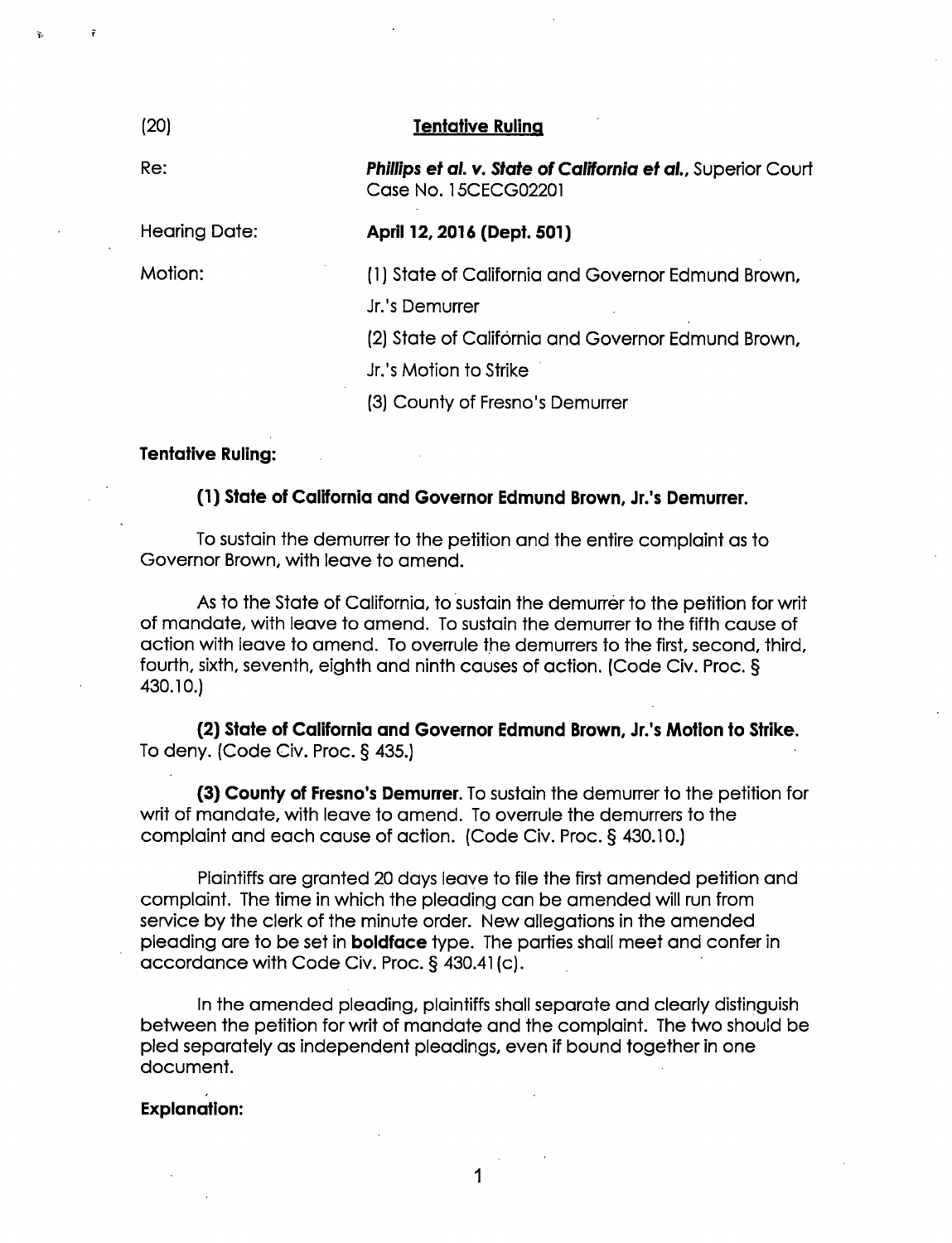# (20) Tentative Ruling

Re: **Phillips et al. v. State of California et al., Superior Court** Case No. 15CECGO2201

Hearing Date: April 12, 2016 (Dept. 501)

Motion:

(1) State of California and Governor Edmund Brown,

Jr.'s Demurrer

(2) State of California and Governor Edmund Brown,

Jr.'s Motion to Strike

(3) County of Fresno's Demurrer

#### Tentative Ruling:

# (1) State of California and Governor Edmund Brown, Jr.'s Demurrer.

To sustain the demurrer to the petition and the entire complaint as to Governor Brown, with leave to amend.

As to the State of California, to sustain the demurrer to the petition for writ of mandate, with leave to amend. To sustain the demurrer to the fifth cause of action with leave to amend. To overrule the demurrers to the first, second, third, fourth, sixth, seventh, eighth and ninth causes of action. (Code Civ. Proc. § 430.10.)

(2) State of California and Governor Edmund Brown, Jr.'s Motion to Strike. To deny. (Code Civ. Proc.  $\S$  435.)

(3) County of Fresno's Demurrer. To sustain the demurrer to the petition for writ of mandate, with leave to amend. To overrule the demurrers to the complaint and each cause of action. (Code Civ. Proc.§ 430.10.)

Plaintiffs are granted 20 days leave to file the first amended petition and complaint. The time in which the pleading can be amended will run from service by the clerk of the minute order. New allegations in the amended pleading are to be set in boldface type. The parties shall meet and confer in accordance with Code Civ. Proc. § 430.41 (c).

In the amended pleading, plaintiffs shall separate and clearly distinguish between the petition for writ of mandate and the complaint. The two should be pled separately as independent pleadings, even if bound together in one document.

#### Explanation:

 $\mathbf 1$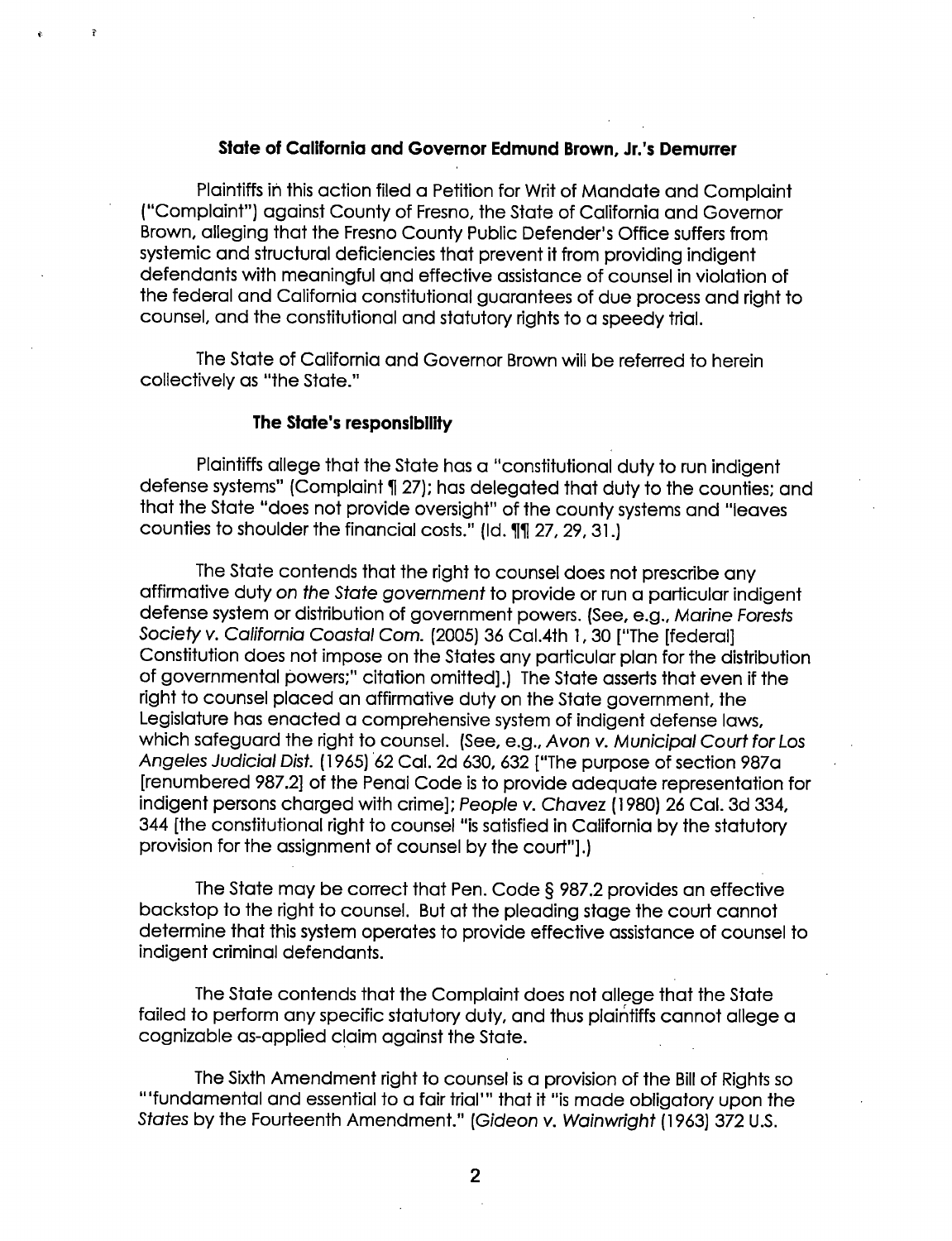#### State of California and Governor Edmund Brown, Jr.'s Demurrer

Plaintiffs in this action filed a Petition for Writ of Mandate and Complaint ("Complaint") against County of Fresno, the State of California and Governor Brown. alleging that the Fresno County Public Defender's Office suffers from systemic and structural deficiencies that prevent it from providing indigent defendants with meaningful and effective assistance of counsel in violation of the federal and California constitutional guarantees of due process and right to counsel, and the constitutional and statutory rights to a speedy trial.

The State of California and Governor Brown will be referred to herein collectively as "the State."

#### The State's responsibility

Plaintiffs allege that the State has a "constitutional duty to run indigent defense systems" (Complaint 1 27); has delegated that duty to the counties; and that the State "does not provide oversight" of the county systems and "leaves counties to shoulder the financial costs." (Id. 11 27, 29, 31.)

The State contends that the right to counsel does not prescribe any affirmative duty on the State government to provide or run a particular indigent defense system or distribution of government powers. (See, e.g., Marine Forests Society v. California Coastal Com. (2005) 36 Cal.4th l, 30 ["The [federal] Constitution does not impose on the States any particular plan for the distribution of governmental powers;" citation omitted].) The State asserts that even if the right to counsel placed an affirmative duty on the State government, the Legislature has enacted a comprehensive system of indigent defense laws, which safeguard the right to counsel. (See, e.g., Avon v. Municipal Court for Los Angeles Judicial Dist. (1 965) '62 Cal. 2d 630, 632 ["The purpose of section 987a [renumbered 987.2] of the Penal Code is to provide adequate representation for indigent persons charged with crime]; People v. Chavez (l 980) 26 Cal. 3d 334, 344 [the constitutional right to counsel "is satisfied in California by the statutory provision for the assignment of counsel by the court"].)

The State may be correct that Pen. Code § 987.2 provides an effective backstop to the right to counsel. But at the pleading stage the court cannot determine that this system operates to provide effective assistance of counsel to indigent criminal defendants.

The State contends that the Complaint does not allege that the State failed to perform any specific statutory duty. and thus plaintiffs cannot allege a cognizable as-applied claim against the State.

The Sixth Amendment right to counsel is a provision of the Bill of Rights so "'fundamental and essential to a fair trial'" that it "is made obligatory upon the States by the Fourteenth Amendment." (Gideon v. Wainwright (l 963) 372 U.S.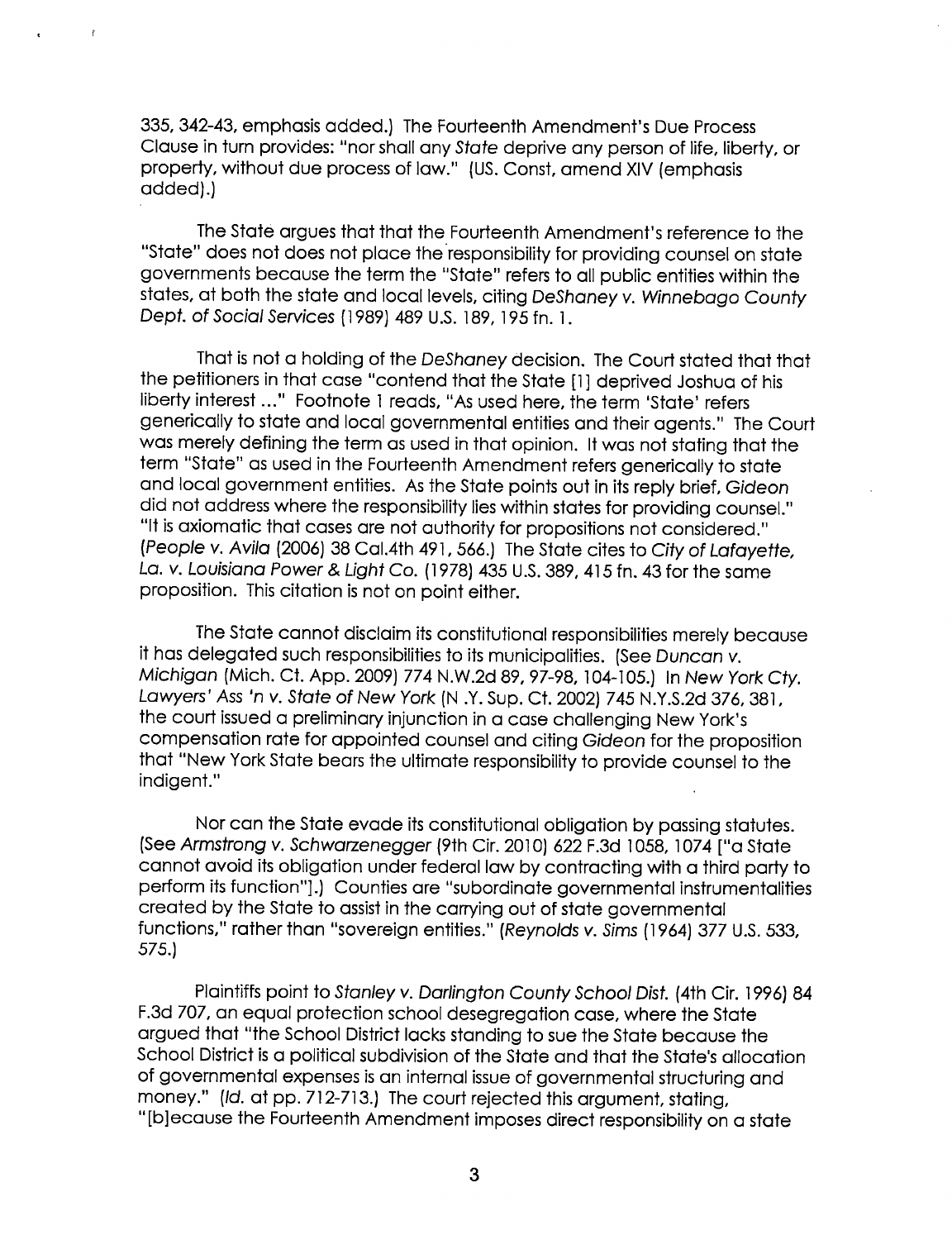335, 342-43, emphasis added.) The Fourteenth Amendment's Due Process Clause in turn provides: "nor shall any State deprive any person of life, liberty, or property, without due process of law." (US. Const, amend XIV (emphasis added).)

 $\bar{r}$ 

The State argues that that the Fourteenth Amendment's reference to the "State" does not does not place theresponsibility for providing counsel on state governments because the term the "State" refers to all public entities within the states, at both the state and local levels, citing DeShaney v. Winnebago County Dept. of Social Services (I989) 489 U.S. i89, i95 fn. i.

That is not a holding of the DeShaney decision. The Court stated that that the petitioners in that case "contend that the State [I] deprived Joshua of his liberty interest ..." Footnote 1 reads, "As used here, the term 'State' refers generically to state and local governmental entities and their agents." The Court was merely defining the term as used in that opinion. It was not stating that the term "State" as used in the Fourteenth Amendment refers generically to state and local government entities. As the State points out in its reply brief, Gideon did not address where the responsibility lies within states for providing counsel." "It is axiomatic that cases are not authority for propositions not considered." (People v. Avila (2006) 38 Cal.4th 49I, 566.) The State cites to City of Lafayette, La. v. Louisiana Power & Light Co. (I 978) 435 U.S. 389, 41 5 fn. 43 for the same proposition. This citation is not on point either.

The State cannot disclaim its constitutional responsibilities merely because it has delegated such responsibilities to its municipalities. (See Duncan v. Michigan (Mich. Ct. App. 2009) 774 N.W.2d 89, 97—98, IO4—i05.) In New York Cty. Lawyers' Ass 'n v. State of New York (N .Y. Sup. Ct. 2002) 745 N.Y.S.2d 376, 381, the court issued a preliminary injunction in a case challenging New York's compensation rate for appointed counsel and citing Gideon for the proposition that "New York State bears the ultimate responsibility to provide counsel to the indigent."

Nor can the State evade its constitutional obligation by passing statutes. (See Armstrong v. Schwarzenegger (9th Cir. 20i0) 622 F.3d 1058, 1074 ["a State cannot avoid its obligation under federal law by contracting with a third party to perform its function"].) Counties are "subordinate governmental instrumentalities created by the State to assist in the carrying out of state governmental functions," rather than "sovereign entities." (Reynolds v. Sims (1964) 377 U.S. 533, 575.)

Plaintiffs point to Stanley v. Darlington County School Dist. (4th Cir. I996) 84 F.3d 707, an equal protection school desegregation case, where the State argued that "the School District lacks standing to sue the State because the School District is a political subdivision of the State and that the State's allocation of governmental expenses is an internal issue of governmental structuring and money." (Id. at pp. 712-713.) The court rejected this argument, stating, "[b]ecause the Fourteenth Amendment imposes direct responsibility on a state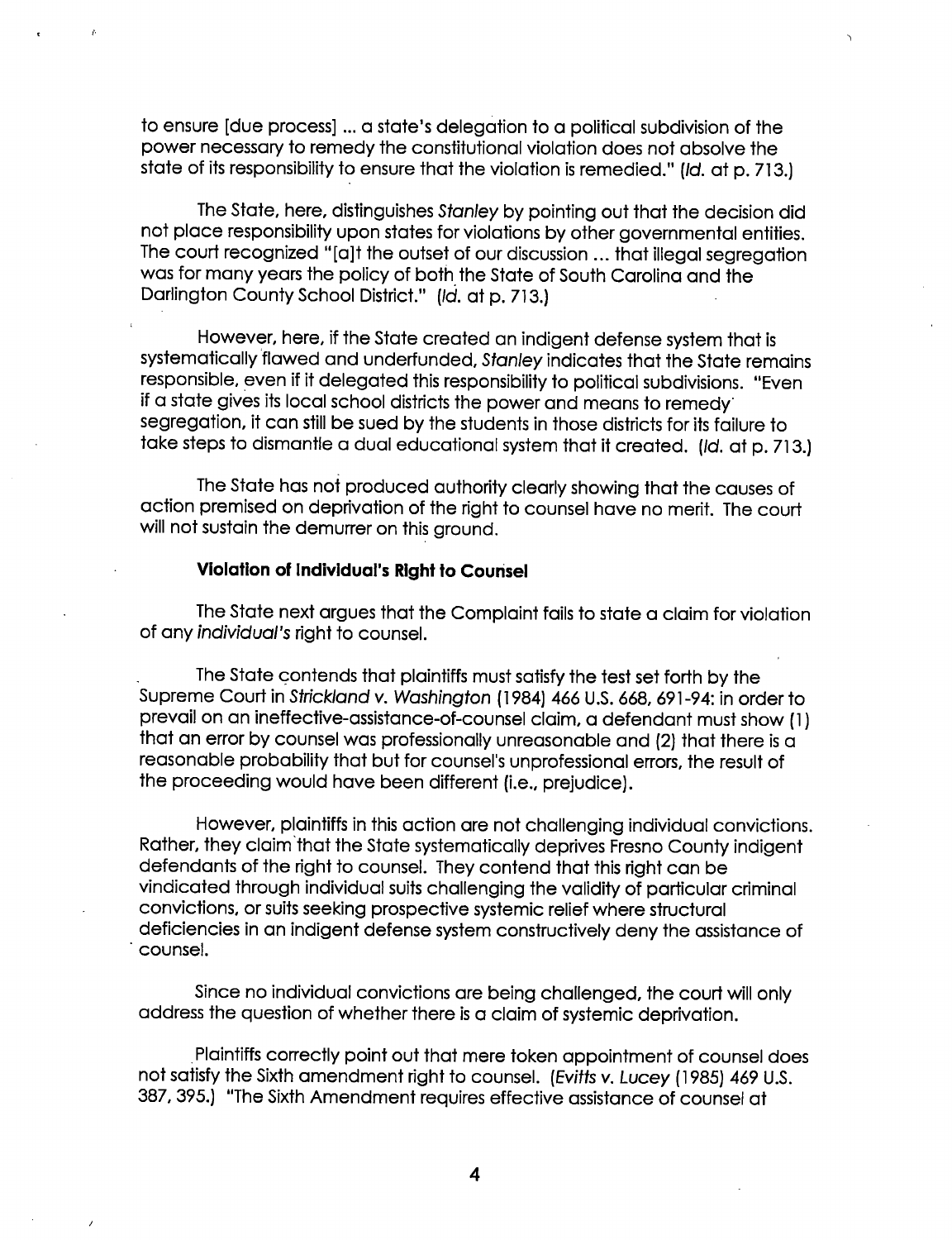to ensure [due process] ... a state's delegation to a political subdivision of the power necessary to remedy the constitutional violation does not absolve the state of its responsibility to ensure that the violation is remedied." (Id. at p. 713.)

The State, here, distinguishes Stanley by pointing out that the decision did not place responsibility upon states for violations by other governmental entities. The court recognized "[a]t the outset of our discussion ... that illegal segregation was for many years the policy of both the State of South Carolina and the Darlington County School District." (Id. at p. 713.)

However, here, if the State created an indigent defense system that is systematically flawed and underfunded, Stanley indicates that the State remains responsible, even if it delegated this responsibility to political subdivisions. "Even if a state gives its local school districts the power and means to remedy segregation, it can still be sued by the students in those districts for its failure to take steps to dismantle a dual educational system that it created. (Id. at p. 713.)

The State has not produced authority clearly showing that the causes of action premised on deprivation of the right to counsel have no merit. The court will not sustain the demurrer on this ground.

# Violation of lndividual's Right to Counsel

The State next argues that the Complaint fails to state a claim for violation of any individual's right to counsel.

The State contends that plaintiffs must satisfy the test set forth by the Supreme Court in Strickland v. Washington (1 984) 466 U.S. 668, 691-94: in order to prevail on an ineffective-assistance-of-counsel claim, a defendant must show (1) that an error by counsel was professionally unreasonable and (2) that there is a reasonable probability that but for counsel's unprofessional errors, the result of the proceeding would have been different (i.e., prejudice).

However, plaintiffs in this action are not challenging individual convictions. Rather, they claim'that the State systematically deprives Fresno County indigent defendants of the right to counsel. They contend that this right can be vindicated through individual suits challenging the validity of particular criminal convictions, or suits seeking prospective systemic relief where structural deficiencies in an indigent defense system constructively deny the assistance of ' counsel.

Since no individual convictions are being challenged, the court will only address the question of whether there is a claim of systemic deprivation.

.Plaintiffs correctly point out that mere token appointment of counsel does not satisfy the Sixth amendment right to counsel. (Evitts v. Lucey (l 985) 469 U.S. 387, 395.) "The Sixth Amendment requires effective assistance of counsel at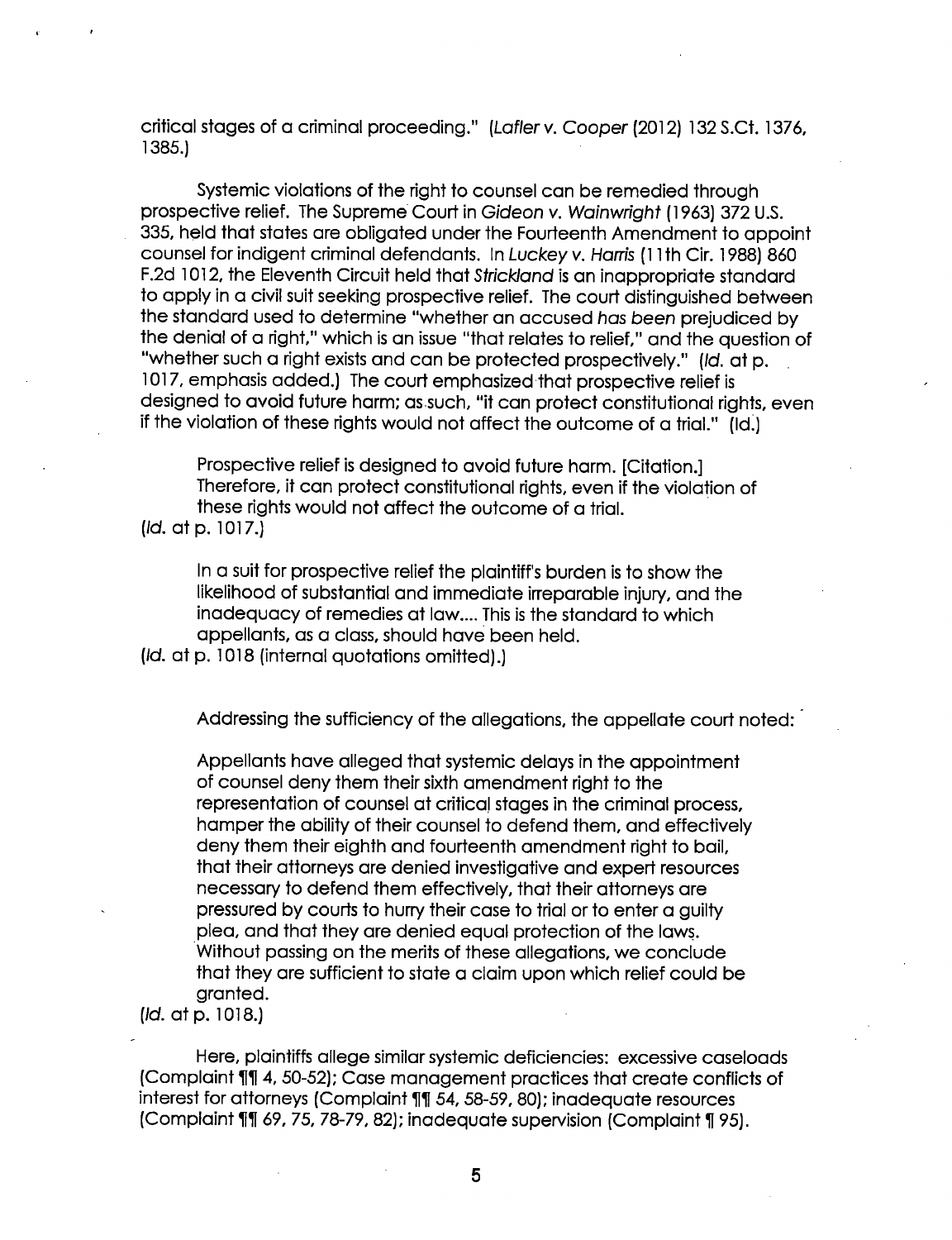critical stages of a criminal proceeding." (Lafler v. Cooper (2012) 132 S.Ct. 1376, 1385.) '

Systemic violations of the right to counsel can be remedied through prospective relief. The Supreme Court in Gideon v. Wainwright (1963) 372 U.S. . 335, held that states are obligated under the Fourteenth Amendment to appoint counsel for indigent criminal defendants. In Luckey v. Harris (1 1th Cir. 1988) 860 F.2d 1012, the Eleventh Circuit held that Strickland is an inappropriate standard to apply in a civil suit seeking prospective relief. The court distinguished between the standard used to determine "whether an accused has been prejudiced by the denial of a right," which is an issue "that relates to relief," and the question of "whether such a right exists and can be protected prospectively." (Id. at p. 1017, emphasis added.) The court emphasized-that prospective relief is designed to avoid future harm; as such, "it can protect constitutional rights, even if the violation of these rights would not affect the outcome of a trial." (ld.)

Prospective relief is designed to avoid future harm. [Citation.] Therefore, it can protect constitutional rights, even if the violation of these rights would not affect the outcome of a trial. (Id. at p. 1017.)

In a suit for prospective relief the plaintiff's burden is to show the likelihood of substantial and immediate irreparable injury, and the inadequacy of remedies at law.... This is the standard to which appellants, as a class, should have been held.

(Id. at p. 1018 (internal quotations omitted).)

Addressing the sufficiency of the allegations, the appellate court noted:  $\lceil$ 

Appellants have alleged that systemic delays in the appointment of counsel deny them their sixth amendment right to the representation of counsel at critical stages in the criminal process, hamper the ability of their counsel to defend them, and effectively deny them their eighth and fourteenth amendment right to bail, that their attorneys are denied investigative and expert resources necessary to defend them effectively, that their attorneys are pressured by courts to hurry their case to trial or to enter a guilty plea, and that they are denied equal protection of the laws. Without passing on the merits of these allegations, we conclude that they are sufficient to state a claim upon which relief could be granted.

(Id. at p. 1018.)

Here, plaintiffs allege similar systemic deficiencies: excessive caseloads (Complaint 1111 4, 50-52); Case management practices that create conflicts of interest for attorneys (Complaint 111 54, 58-59, 80); inadequate resources (Complaint 111 69, 75, 78-79, 82); inadequate supervision (Complaint 195).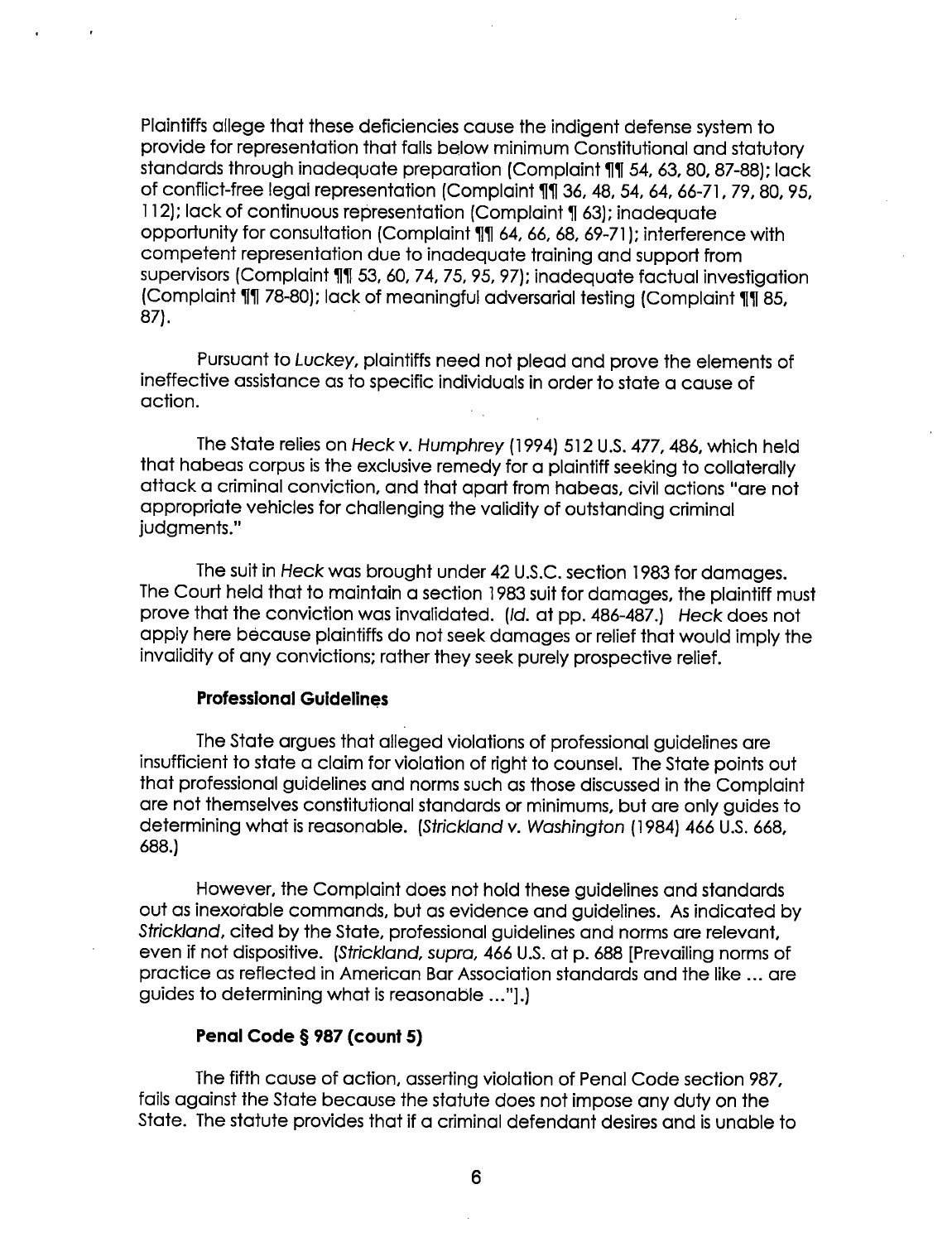Plaintiffs allege that these deficiencies cause the indigent defense system to provide for representation that falls below minimum Constitutional and statutory standards through inadequate preparation (Complaint 11 54, 63, 80, 87-88); lack of conflict-free legal representation (Complaint 11 36, 48, 54, 64, 66-71, 79, 80, 95, 112); lack of continuous representation (Complaint 1 63); inadequate opportunity for consultation (Complaint 11 64, 66, 68, 69-71); interference with competent representation due to inadequate training and support from supervisors (Complaint 111 53, 60, 74, 75, 95, 97); inadequate factual investigation (Complaint 11 78-80); lack of meaningful adversarial testing (Complaint 11 85, 87).

Pursuant to Luckey, plaintiffs need not plead and prove the elements of ineffective assistance as to specific individuals in order to state a cause of action.

The State relies on Heck v. Humphrey (1994) 512 U.S. 477, 486, which held that habeas corpus is the exclusive remedy for a plaintiff seeking to collaterally attack a criminal conviction, and that apart from habeas, civil actions "are not appropriate vehicles for challenging the validity of outstanding criminal judgments."

The suit in Heck was brought under 42 U.S.C. section 1983 for damages. The Court held that to maintain a section 1983 suit for damages, the plaintiff must prove that the conviction was invalidated. (Id. at pp. 486—487.) Heck does not apply here because plaintiffs do not seek damages or relief that would imply the invalidity of any convictions; rather they seek purely prospective relief.

# Professional Guidelines

The State argues that alleged violations of professional guidelines are insufficient to state a claim for violation of right to counsel. The State points out that professional guidelines and norms such as those discussed in the Complaint are not themselves constitutional standards or minimums, but are only guides to determining what is reasonable. (Strickland v. Washington (1984) 466 U.S. 668, 688.)

However, the Complaint does not hold these guidelines and standards out as inexorable commands, but as evidence and guidelines. As indicated by Strickland, cited by the State, professional guidelines and norms are relevant, even if not dispositive. (Strickland, supra, 466 US. at p. 688 [Prevailing norms of practice as reflected in American Bar Association standards and the like ... are guides to determining what is reasonable ..."].)

### Penal Code § 987 (count 5)

The fifth cause of action, asserting violation of Penal Code section 987, fails against the State because the statute does not impose any duty on the State. The statute provides that if a criminal defendant desires and is unable to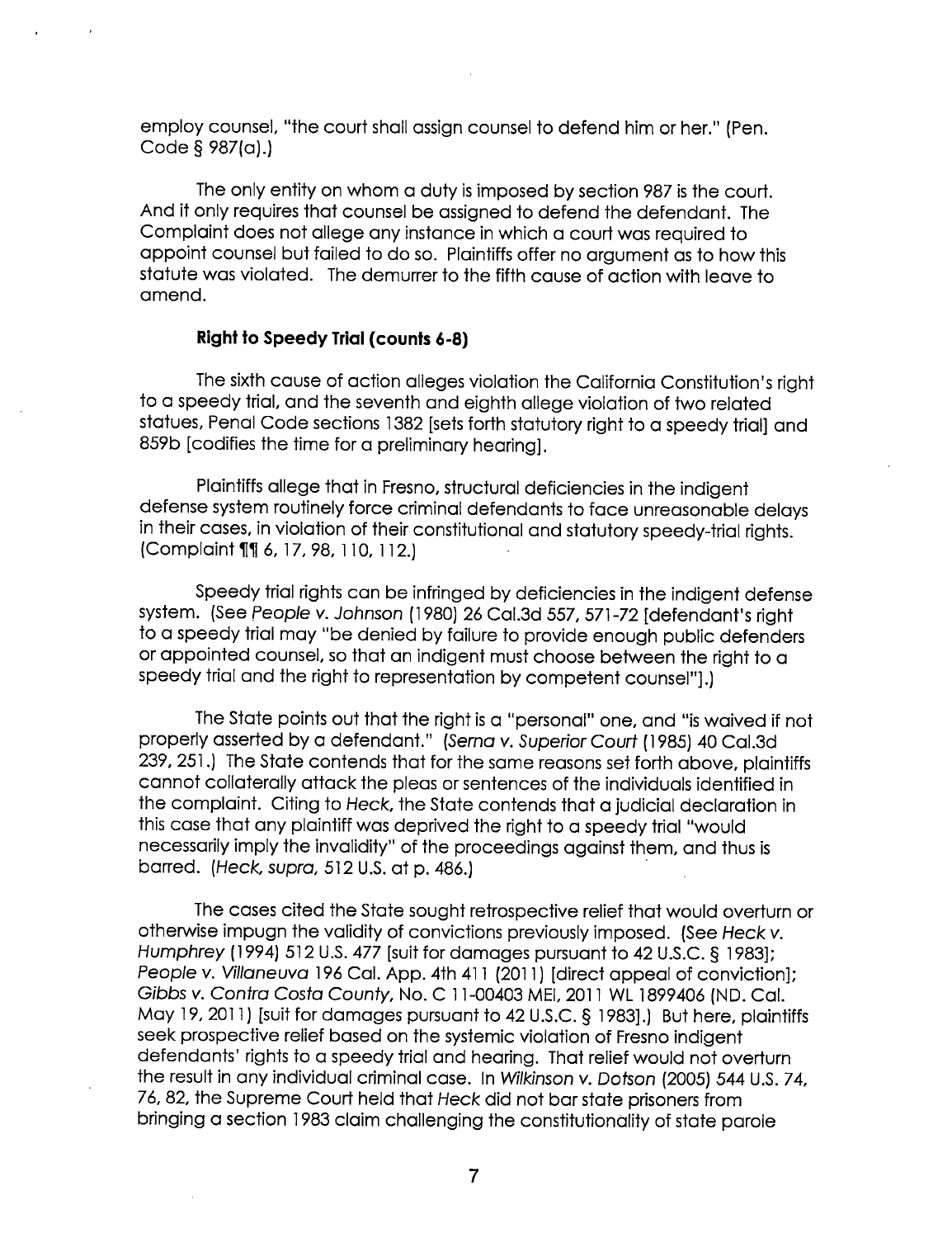employ counsel, "the court shall assign counsel to defend him or her." (Pen. Code § 987(a).)

The only entity on whom a duty is imposed by section 987 is the court. And it only requires that counsel be assigned to defend the defendant. The Complaint does not allege any instance in which a court was required to appoint counsel but failed to do so. Plaintiffs offer no argument as to how this statute was violated. The demurrer to the fifth cause of action with leave to amend.

# Right to Speedy Trial (counts 6-8)

The sixth cause of action alleges violation the California Constitution's right to a speedy trial, and the seventh and eighth allege violation of two related statues, Penal Code sections 1382 [sets forth statutory right to a speedy trial] and 859b [codifies the time for a preliminary hearing].

Plaintiffs allege that in Fresno, structural deficiencies in the indigent defense system routinely force criminal defendants to face unreasonable delays in their cases, in violation of their constitutional and statutory speedy-trial rights. (Complaint 11 6, 17, 98, 110, 112.)

Speedy trial rights can be infringed by deficiencies in the indigent defense system. (See People v. Johnson (1980) 26 Cal.3d 557, 571-72 [defendant's right to a speedy trial may "be denied by failure to provide enough public defenders or appointed counsel, so that an indigent must choose between the right to a speedy trial and the right to representation by competent counsel"].)

The State points out that the right is a "personal" one, and "is waived if not properly asserted by a defendant." (Serna v. Superior Court (1985) 40 Cal.3d 239, 251.) The State contends that for the same reasons set forth above, plaintiffs cannot collaterally attack the pleas or sentences of the individuals identified in the complaint. Citing to Heck, the State contends that a judicial declaration in this case that any plaintiff was deprived the right to a speedy trial "would necessarily imply the invalidity" of the proceedings against them, and thus is barred. (Heck, supra, 512 US. at p. 486.)

The cases cited the State sought retrospective relief that would overturn or otherwise impugn the validity of convictions previously imposed. (See Heck v. Humphrey (1994) 512 US. 477 [suit for damages pursuant to 42 U.S.C. § 1983]; People v. Villaneuva 196 Cal. App. 4th 411 (2011) [direct appeal of conviction];<br>Gibbs v. Contra Costa County, No. C 11-00403 MEI, 2011 WL 1899406 (ND. Cal. May 19, 2011) [suit for damages pursuant to 42 U.S.C. § 1983].) But here, plaintiffs seek prospective relief based on the systemic violation of Fresno indigent defendants' rights to a speedy trial and hearing. That relief would not overturn the result in any individual criminal case. In Wilkinson v. Dotson (2005) 544 U.S. 74, 76, 82, the Supreme Court held that Heck did not bar state prisoners from bringing a section 1983 claim challenging the constitutionality of state parole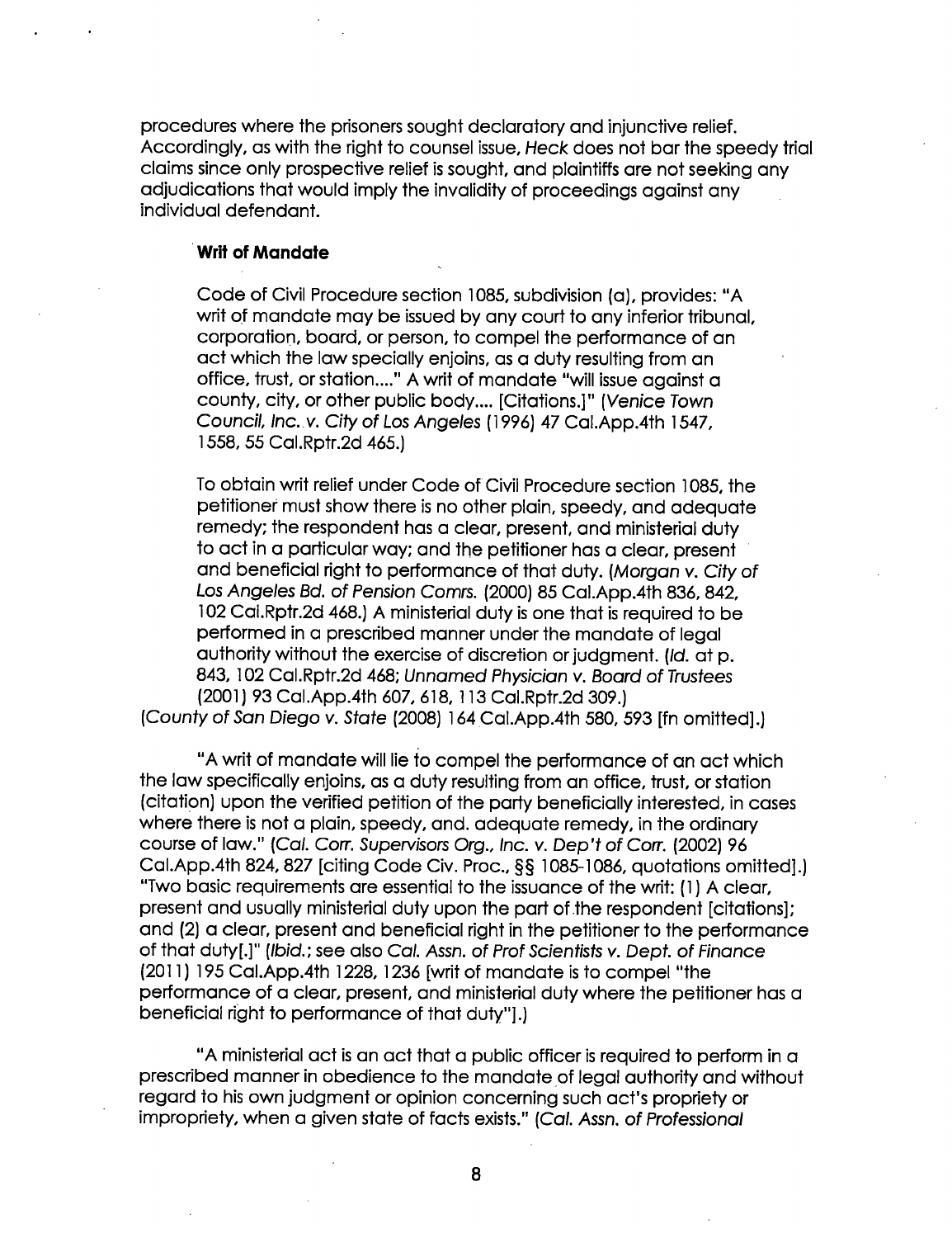procedures where the prisoners sought declaratory and injunctive relief. Accordingly, as with the right to counsel issue, Heck does not bar the speedy trial claims since only prospective relief is sought, and plaintiffs are not seeking any adjudications that would imply the invalidity of proceedings against any individual defendant.

# ' Writ of Mandate

Code of Civil Procedure section 1085, subdivision (0), provides: "A writ of mandate may be issued by any court to any inferior tribunal, corporation, board, or person, to compel the performance of an act which the law specially enjoins, as a duty resulting from an office, trust, or station...." A writ of mandate "will issue against a county, city, or other public body.... [Citations.]" (Venice Town Council, lnc..v. City of Los Angeles (1996) 47 Cal.App.4th 1547, 1558, 55 Cal.Rptr.2d 465.)

To obtain writ relief under Code of Civil Procedure section 1085, the petitioner must show there is no other plain, speedy, and adequate remedy; the respondent has a clear, present, and ministerial duty to act in a particular way; and the petitioner has a clear, present ' and beneficial right to performance of that duty. (Morgan v. City of Los Angeles Bd. of Pension Comrs. (2000) 85 Cal.App.4th 836, 842, 102 Cal.Rptr.2d 468.) A ministerial duty is one that is required to be performed in a prescribed manner under the mandate of legal authority without the exercise of discretion or judgment. (Id. at p. 843, 102 Cal.Rptr.2d 468; Unnamed Physician v. Board of Trustees (2001) 93 Cal.App.4th 607, 618, 113 Cal.Rptr.2d 309.) (County of San Diego v. State (2008) 164 Cal.App.4th 580, 593 [fn omitted].)

"A writ of mandate will lie to compel the performance of an act which the law specifically enjoins, as a duty resulting from an office, trust, or station (citation) upon the verified petition of the party beneficially interested, in cases where there is not a plain, speedy, and. adequate remedy, in the ordinary course of law." (Cal. Corr. Supervisors Org., Inc. v. Dep't of Corr. (2002) <sup>96</sup> Cal.App.4th 824, 827 [citing Code Civ. Proc., §§ 1085—1086, quotations omitted].) "Two basic requirements are essential to the issuance of the writ: (1) A clear, present and usually ministerial duty upon the part of the respondent [citations]; and (2) a clear, present and beneficial right in the petitioner to the performance of that duty[.]" (Ibid.; see also Cal. Assn. of Prof Scientists v. Dept. of Finance (2011) 195 Cal.App.4th 1228, 1236 [writ of mandate is to compel "the performance of a clear, present, and ministerial duty where the petitioner has a beneficial right to performance of that duty"].)

"A ministerial act is an act that a public officer is required to perform in a prescribed manner in obedience to the mandate of legal authority and without regard to his own judgment or opinion concerning such act's propriety or impropriety, when a given state of facts exists." (Cal. Assn. of Professional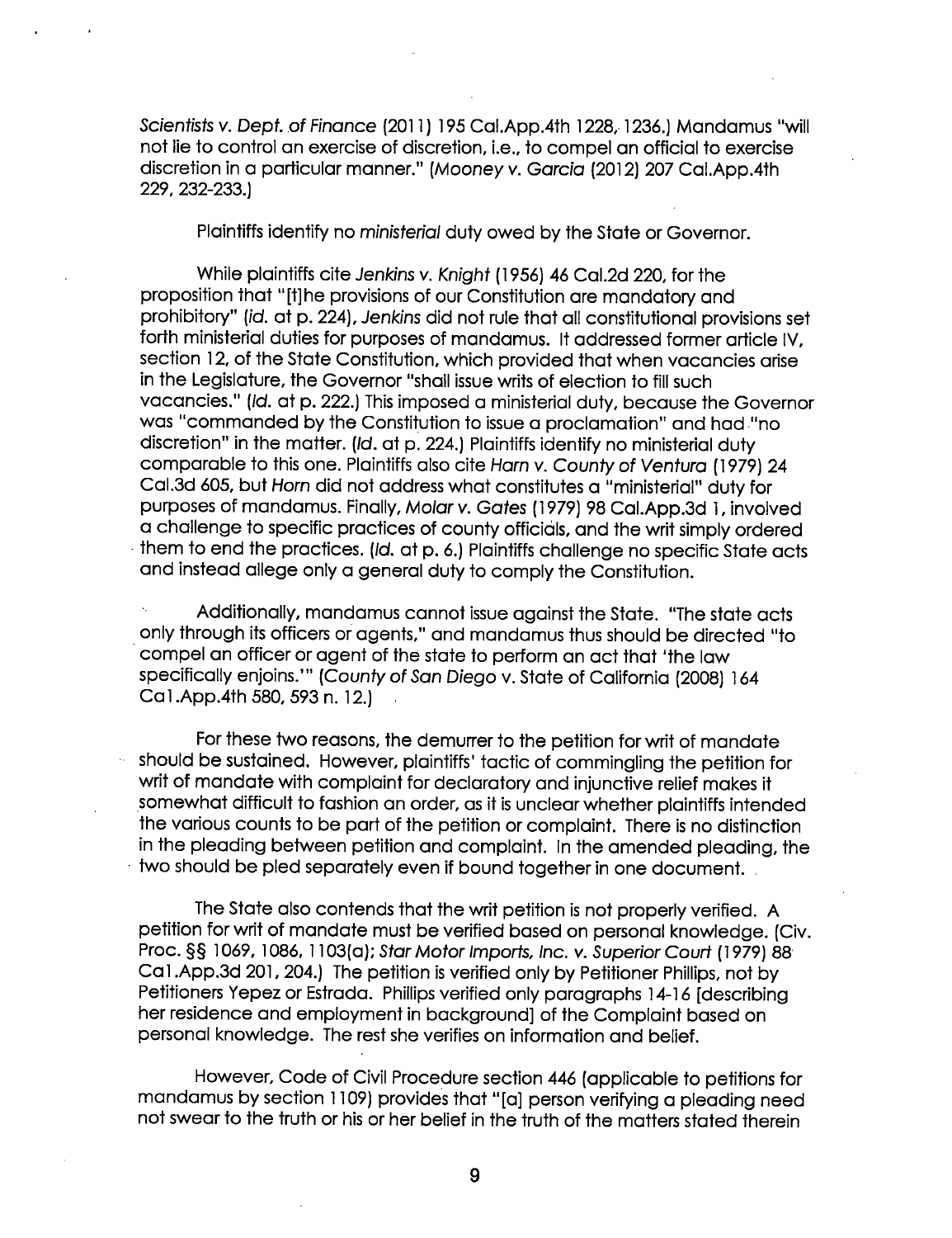Scientists v. Dept. of Finance (2011) 195 Cal.App.4th 1228, 1236.) Mandamus "will not lie to control an exercise of discretion, i.e., to compel an official to exercise discretion in a particular manner." (Mooney v. Garcia (2012) 207 Cal.App.4th 229, 232-233.)

Plaintiffs identify no ministerial duty owed by the State or Governor.

While plaintiffs cite Jenkins v. Knight (1956) 46 Cal.2d 220, for the proposition that "[t]he provisions of our Constitution are mandatory and prohibitory" (id. at p. 224), Jenkins did not rule that all constitutional provisions set forth ministerial duties for purposes of mandamus. It addressed former article IV, section 12, of the State Constitution, which provided that when vacancies arise in the Legislature, the Governor "shall issue writs of election to fill such vacancies." (Id. at p. 222.) This imposed a ministerial duty, because the Governor was "commanded by the Constitution to issue a proclamation" and had-"no discretion" in the matter. (Id. at p. 224.) Plaintiffs identify no ministerial duty comparable to this one. Plaintiffs also cite Ham v. County of Ventura ( 1979) 24 Cal.3d 605, but Horn did not address what constitutes a "ministerial" duty for purposes of mandamus. Finally, Molar v. Gates (1979) 98 Cal.App.3d 1, involved a challenge to specific practices of county officials, and the writ simply ordered <sup>1</sup>them to end the practices. (Id. at p. 6.) Plaintiffs challenge no specific State acts and instead allege only a general duty to comply the Constitution.

Additionally, mandamus cannot issue against the State. "The state acts only through its officers or agents," and mandamus thus should be directed "to compel an officer or agent of the state to perform an act that 'the law specifically enjoins.'" (County of San Diego v. State of California (2008) 164 Ca1.App.4th 580, 593 n. 12.)

For these two reasons, the demurrer to the petition for writ of mandate - should be sustained. However, plaintiffs' tactic of commingling the petition for writ of mandate with complaint for declaratory and injunctive relief makes it somewhat difficult to fashion on order, as it is unclear whether plaintiffs intended the various counts to be part of the petition or complaint. There is no distinction in the pleading between petition and complaint. In the amended pleading, the two should be pled separately even if bound together in one document.

The State also contends that the writ petition is not properly verified. A petition for writ of mandate must be verified based on personal knowledge. (Civ. Proc. §§ 1069, 1086, 1 103(0); Star Motor Imports, Inc. v. Superior Court (1979) 88' Ca1.App.3d 201, 204.) The petition is verified only by Petitioner Phillips, not by Petitioners Yepez or Estrada. Phillips verified only paragraphs 14-16 [describing her residence and employment in background] of the Complaint based on personal knowledge. The rest she verifies on information and belief.

However, Code of Civil Procedure section 446 (applicable to petitions for mandamus by section 1109) provides that "[a] person verifying a pleading need not swear to the truth or his or her belief in the truth of the matters stated therein

9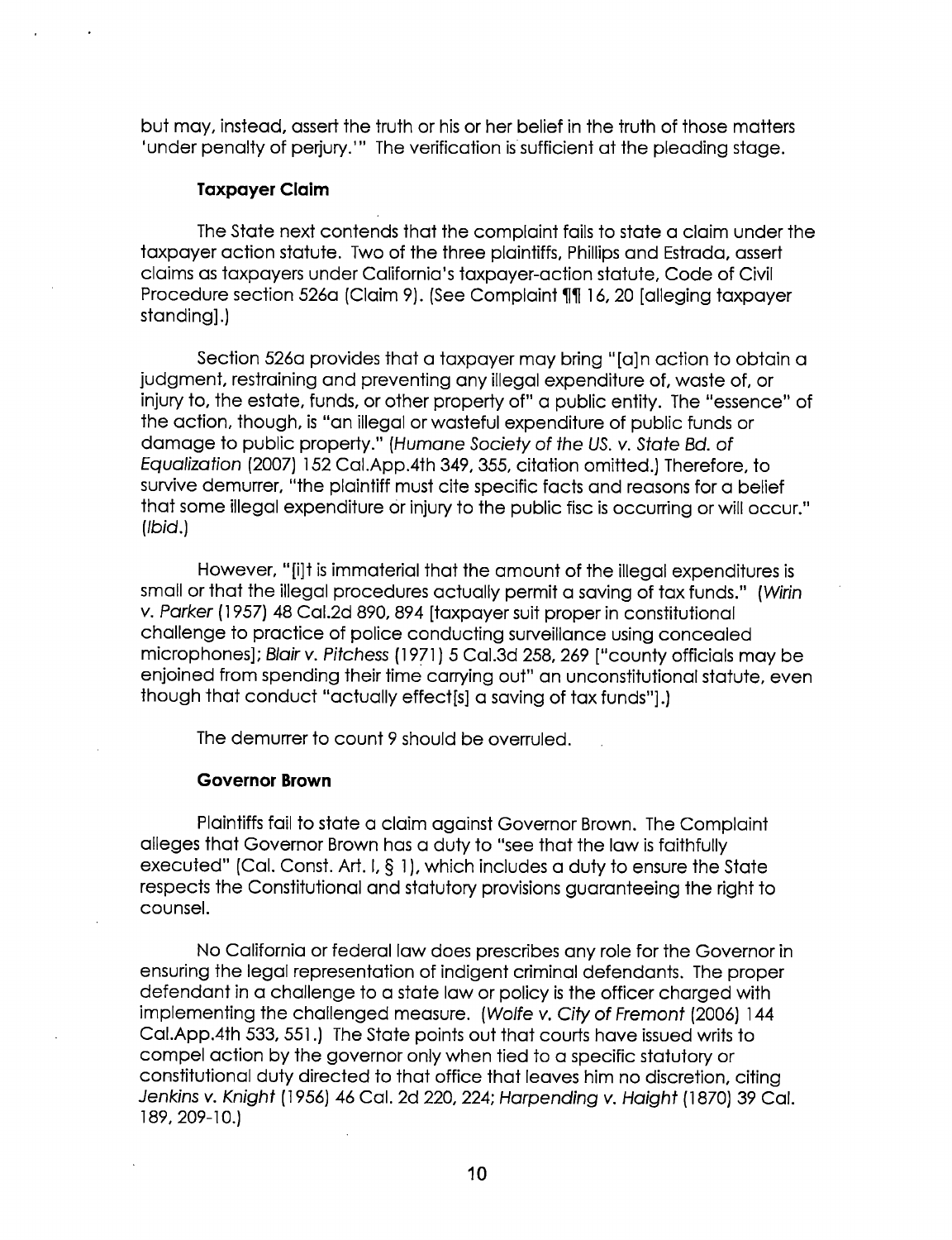but may, instead, assert the truth or his or her belief in the truth of those matters 'under penalty of perjury.'" The verification is sufficient at the pleading stage.

### Taxpayer Claim

The State next contends that the complaint fails to state a claim under the taxpayer action statute. Two of the three plaintiffs, Phillips and Estrada, assert claims as taxpayers under California's taxpayer-action statute, Code of Civil Procedure section 526a (Claim 9). (See Complaint 111 16, 20 [alleging taxpayer standing].)

Section 526a provides that a taxpayer may bring "[a]n action to obtain a judgment, restraining and preventing any illegal expenditure of, waste of, or iniury to, the estate, funds, or other property of" a public entity. The "essence" of the action, though, is "an illegal or wasteful expenditure of public funds or damage to public property." (Humane Society of the US. v. State Bd. of Equalization (2007) 152 Cal.App.4th 349, 355, citation omitted.) Therefore, to survive demurrer, "the plaintiff must cite specific facts and reasons for a belief that some illegal expenditure or injury to the public fisc is occurring or will occur." (Ibid.)

However, "[i]t is immaterial that the amount of the illegal expenditures is small or that the illegal procedures actually permit a saving of tax funds." (Wirin v. Parker (1957) 48 Cal.2d 890, 894 [taxpayer suit proper in constitutional challenge to practice of police conducting surveillance using concealed microphones]; Blair v. Pitchess (1971) 5 Cal.3d 258, 269 ["county officials may be enjoined from spending their time carrying out" an unconstitutional statute, even though that conduct "actually effect[s] a saving of tax funds"].)

The demurrer to count 9 should be overruled.

#### Governor Brown

Plaintiffs fail to state a claim against Governor Brown. The Complaint alleges that Governor Brown has a duty to "see that the law is faithfully executed" (Cal. Const. Art. I,  $\S$  1), which includes a duty to ensure the State respects the Constitutional and statutory provisions guaranteeing the right to counsel.

No California or federal law does prescribes any role for The Governor in ensuring the legal representation of indigent criminal defendants. The proper defendant in a challenge to a state law or policy is the officer charged with implementing the challenged measure. (Wolfe v. City of Fremont (2006) 144 Cal.App.4th 533, 551.) The State points out that courts have issued writs to compel action by the governor only when tied to a specific statutory or constitutional duty directed to that office that leaves him no discretion, citing Jenkins v. Knight (1956) 46 Cal. 2d 220, 224; Harpending v. Haight (1870) 39 Cal. T89, 209—l0.)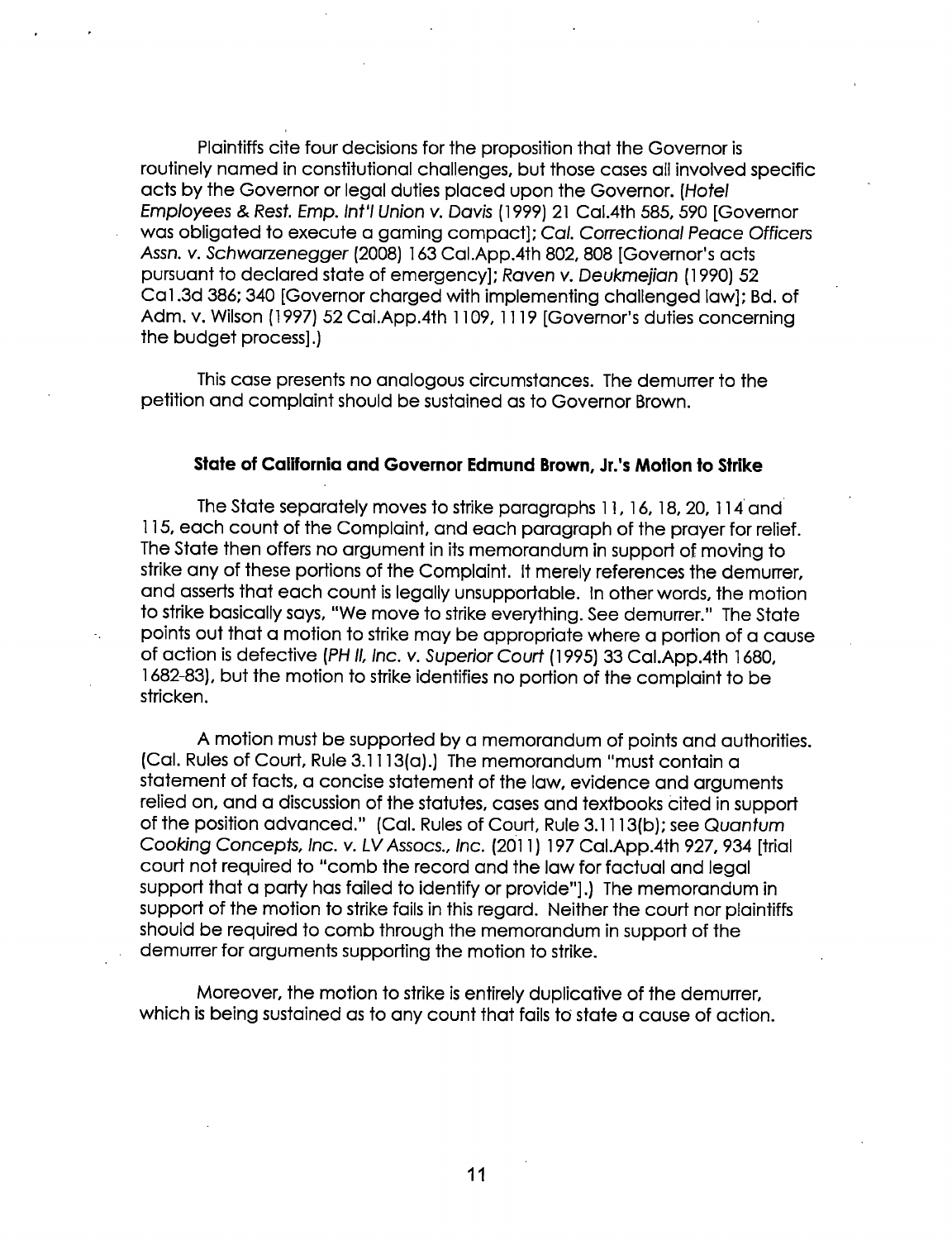Plaintiffs cite four decisions for the proposition that the Governor is routinely named in constitutional challenges, but those cases all involved specific acts by the Governor or legal duties placed upon the Governor. (Hotel Employees & Rest. Emp. Int'l Union v. Davis (1999) 21 Cal.4th 585, 590 [Governor was obligated to execute a gaming compact]; CaI. Correctional Peace Officers Assn. v. Schwarzenegger (2008) 163 Cal.App.4th 802, <sup>808</sup>[Governor's acts pursuant to declared state of emergency]; Raven v. Deukmejian (1990) 52 Cai .3d 386; 340 [Governor charged with implementing challenged law]; Bd. of Adm. v. Wilson (1997) 52 Cal.App.4th 1109, 1119 [Governor's duties concerning the budget process] .)

This case presents no analogous circumstances. The demurrer to the petition and complaint should be sustained as to Governor Brown.

# State of California and Governor Edmund Brown, Jr.'s Motion to Strike

The State separately moves to strike paragraphs 11, 16, 18, 20, 114 and 115, each count of the Complaint, and each paragraph of the prayer for relief. The State then offers no argument in its memorandum in support of moving to strike any of these portions of the Complaint. It merely references the demurrer, and asserts that each count is legally unsupportable. In other words, the motion to strike basically says, "We move to strike everything. See demurrer." The State points out that a motion to strike may be appropriate where a portion of a cause of action is defective (PH II, Inc. v. Superior Court (1995) 33 Cal.App.4th 1680, 1682—83), but the motion to strike identifies no portion of the complaint to be stricken.

A motion must be supported by a memorandum of points and authorities. (Cal. Rules of Court, Rule 3.1113(0).) The memorandum "must contain a statement of facts, a concise statement of the law, evidence and arguments relied on, and a discussion of the statutes, cases and textbooks Cited in support of the position advanced." (Cal. Rules of Court, Rule 3.1 1 13(b); see Quantum Cooking Concepts, Inc. v. LV Assocs., Inc. (201 1) 197 Cal.App.4th 927, 934 [trial court not required to "comb the record and the law for factual and legal support that a party has failed to identify or provide"].) The memorandum in support of the motion to strike fails in this regard. Neither the court nor plaintiffs should be required to comb through the memorandum in support of the demurrer for arguments supporting the motion to strike.

Moreover, the motion to strike is entirely duplicative of the demurrer, which is being sustained as to any count that fails to state a cause of action.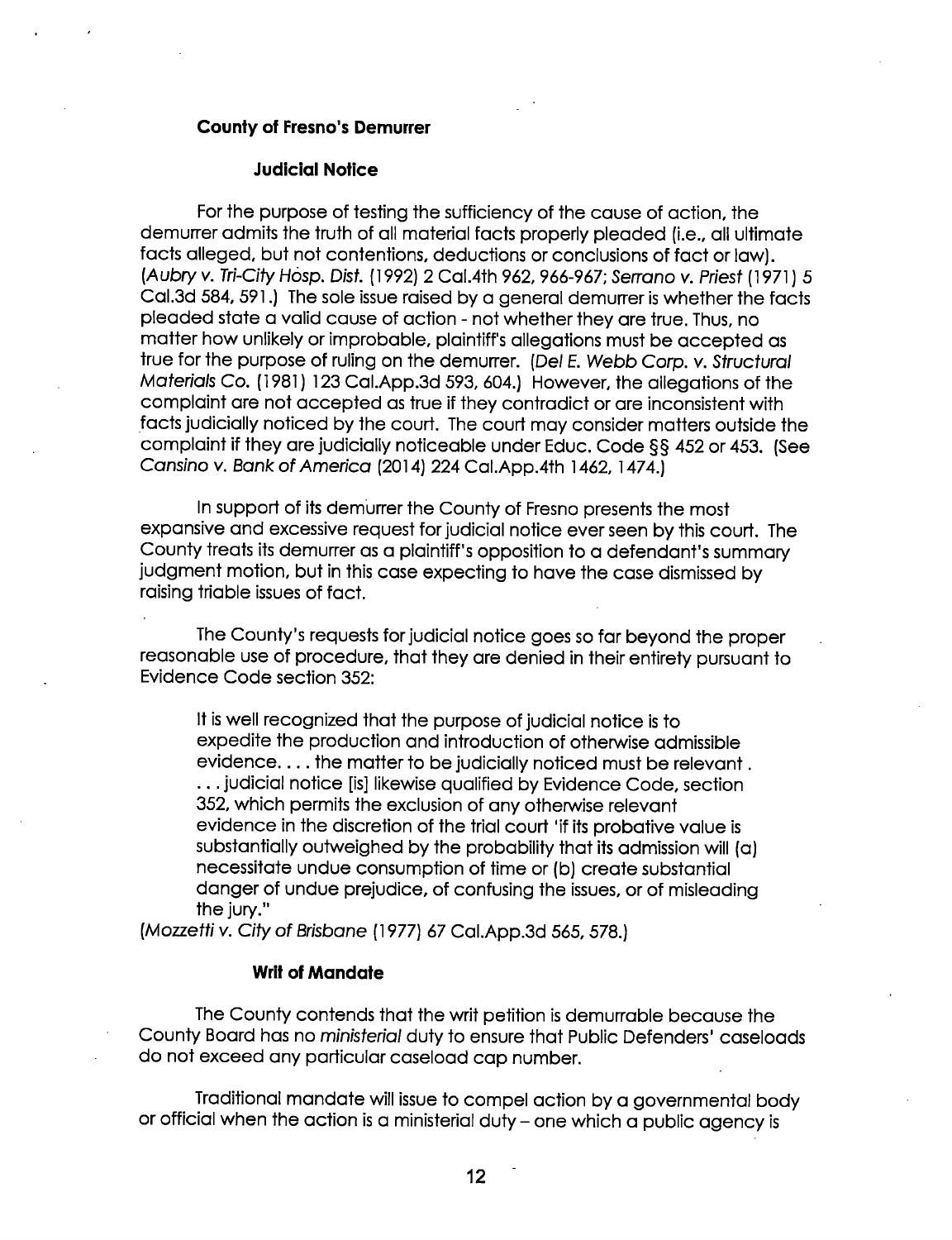# County of Fresno's Demurrer

### Judicial Notice

For the purpose of testing the sufficiency of the cause of action, the demurrer admits the truth of all material facts properly pleaded (i.e., all ultimate facts alleged, but not contentions, deductions or conclusions of fact or law). (Aubry v. Tri-City Hesp. Dist. (1992) 2 Cal.4Th 962, 966-967; Serrano v. Priest (1971) 5 Cal.3d 584, 591.) The sole issue raised by a general demurrer is whether the facts pleaded state a valid cause of action - not whether they are true. Thus, no matter how unlikely or improbable, plaintiff's allegations must be accepted as true for the purpose of ruling on the demurrer. (Del E. Webb Corp. v. Structural Materials Co. (1981) 123 Cal.App.3d 593, 604.) However, the allegations of the complaint are not accepted as true if they contradict or are inconsistent with facts judicially noticed by the court. The court may consider matters outside the complaint if they are judicially noticeable under Educ. Code  $\S$ § 452 or 453. (See Cansino v. Bank of America (2014) 224 Cal.App.4th 1462, 1474.

In support of its demurrer the County of Fresno presents the most expansive and excessive request for judicial notice ever seen by this court. The County treats its demurrer as a plaintiff's opposition to a defendant's summary judgment motion, but in this case expecting to have the case dismissed by raising triable issues of fact.

The County's requests for judicial notice goes so far beyond the proper reasonable use of procedure, that they are denied in their entirety pursuant to Evidence Code section 352:

It is well recognized that the purpose of judicial notice is to expedite the production and introduction of otherwise admissible evidence.... the matter to be judicially noticed must be relevant. . . .judicial notice [is] likewise qualified by Evidence Code, section 352, which permits the exclusion of any otherwise relevant evidence in the discretion of the trial court 'if its probative value is substantially outweighed by the probability that its admission will (a) necessitate undue consumption of time or (b) create substantial danger of undue prejudice, of confusing the issues, or of misleading the jury."

(Mozzetti v. City of Brisbane (1977) 67 Cal.App.3d 565, 578.)

#### Writ of Mandate

The County contends that the writ petition is demurrable because the County Board has no *ministerial* duty to ensure that Public Defenders' caseloads do not exceed any particular caseload cap number.

Traditional mandate will issue to compel action by a governmental body or official when the action is a ministerial duty - one which a public agency is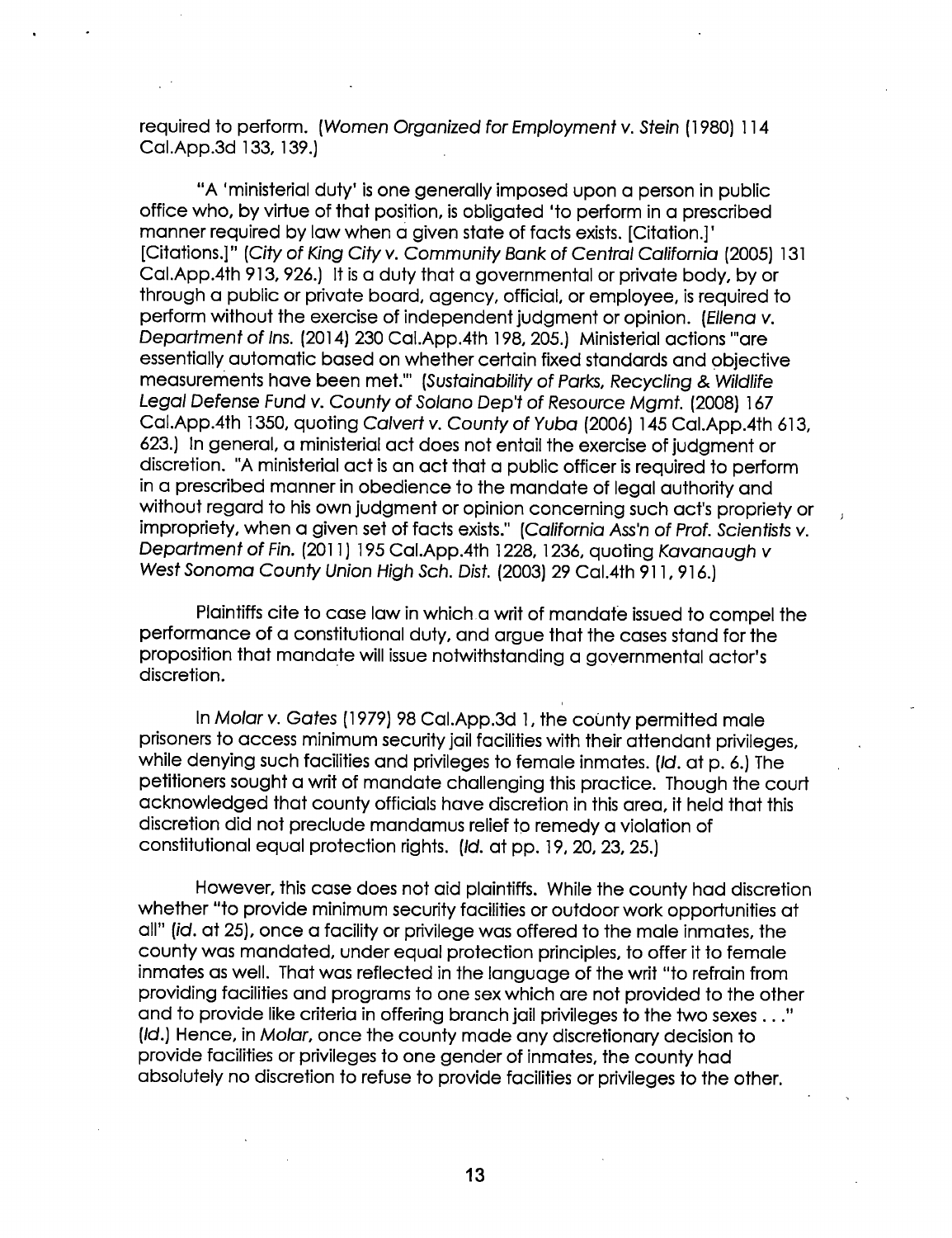required to perform. (Women Organized for Employment v. Stein (1980) 114 Cal.App.3d 133, 139.)

"A 'ministerial duty' is one generally imposed upon a person in public office who, by virtue of that position, is obligated 'to perform in a prescribed manner required bylaw when a given state of facts exists. [Citation.]' [Citations.]" (City of King City v. Community Bank of Central California (2005) 131 Cal.App.4th 913, 926.) it is a duty that a governmental or private body, by or through a public or private board, agency, official, or employee, is required to perform without the exercise of independent judgment or opinion. (Ellena v. Department of Ins. (2014) 230 Cal.App.4th 198, 205.) Ministerial actions "are essentially automatic based on whether certain fixed standards and objective measurements have been met."' (Sustainability of Parks, Recycling & Wildlife Legal Defense Fund v. County of Solano Dep't of Resource Mgmt. (2008) <sup>167</sup> Cal.App.4th 1350, quoting Calvert v. County of Yuba (2006) 145 Cal.App.4th 613, 623.) in general, a ministerial act does not entail the exercise of judgment or discretion. "A ministerial act is an act that a public officer is required to perform in a prescribed manner in obedience to the mandate of legal authority and without regard to his own judgment or opinion concerning such act's propriety or impropriety, when a given set of facts exists." (California Ass'n of Prof. Scientists v. Departmentof Fin. (2011) 195 Cal.App.4th 1228, 1236, quoting Kavanaugh v West Sonoma County Union High Sch. Dist. (2003) 29 Cal.4th 91 1, 916.)

Plaintiffs cite to case law in which a writ of mandate issued to compel the performance of a constitutional duty, and argue that the cases stand for the proposition that mandate will issue notwithstanding a governmental actor's discretion.

In Molar v. Gates (1979) 98 Cal.App.3d 1, the county permitted male prisoners to access minimum security jail facilities with their attendant privileges, while denying such facilities and privileges to female inmates. (Id. at p. 6.) The petitioners sought a writ of mandate challenging this practice. Though the court acknowledged that county officials have discretion in this area, it held that this discretion did not preclude mandamus relief to remedy a violation of constitutional equal protection rights. (Id. at pp. 19, 20, 23, 25.)

However, this case does not aid plaintiffs. While the county had discretion whether "to provide minimum security facilities or outdoor work opportunities at all" (id. at 25), once a facility or privilege was offered to the male inmates, the county was mandated, under equal protection principles, to offer it to female inmates as well. That was reflected in the language of the writ "to refrain from providing facilities and programs to one sex which are not provided to the other and to provide like criteria in offering branch jail privileges to the two sexes . . ." (ld.) Hence, in Molar, once the county made any discretionary decision to provide facilities or privileges to one gender of inmates, the county had absolutely no discretion to refuse to provide facilities or privileges to the other.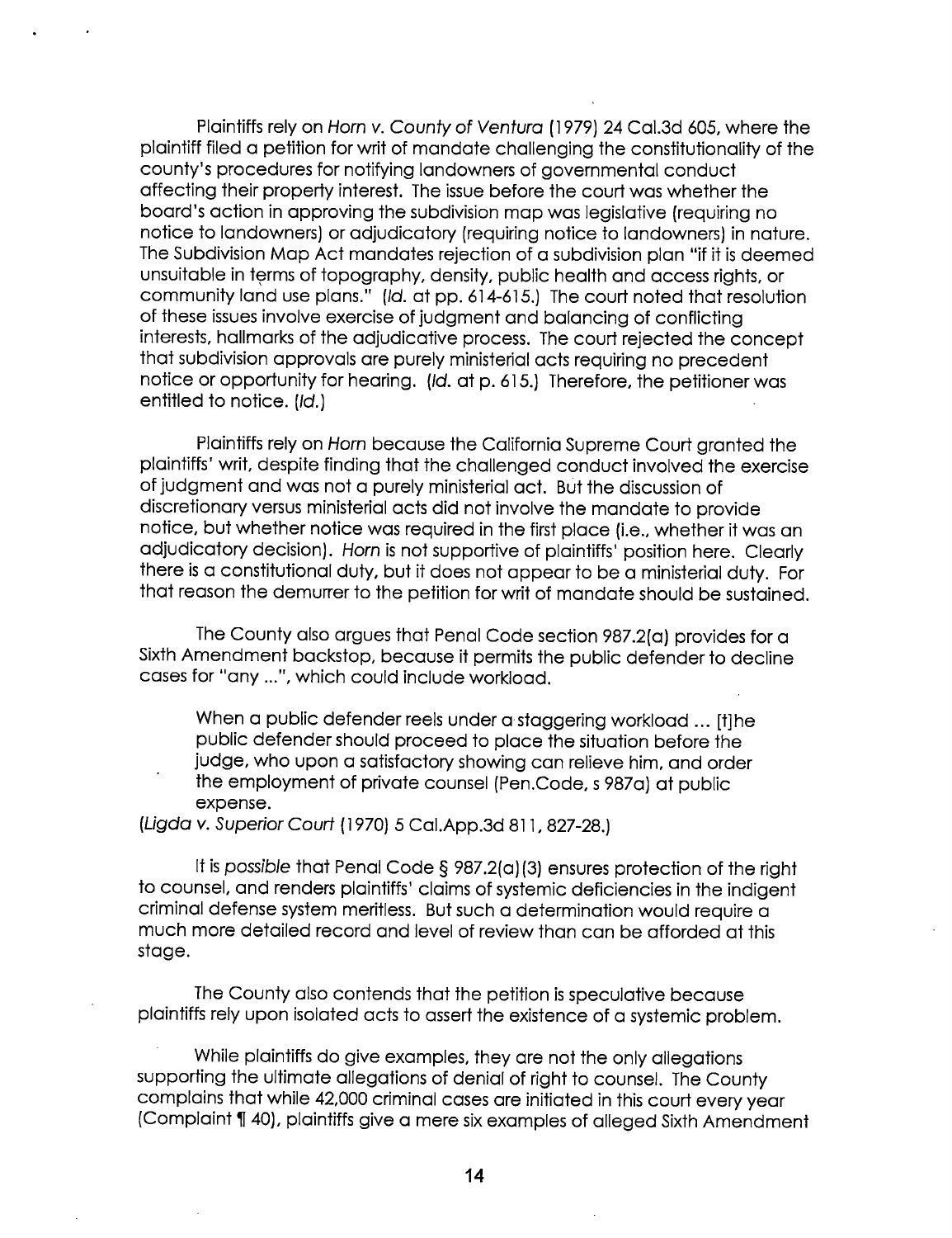Plaintiffs rely on Horn v. County of Ventura (1979) 24 Cal.3d 605, where the plaintiff filed a petition for writ of mandate challenging the constitutionality of the county's procedures for notifying landowners of governmental conduct affecting their property interest. The issue before the court was whether the board's action in approving the subdivision map was legislative (requiring no notice to landowners) or adjudicatory (requiring notice to landowners) in nature. The Subdivision Map Act mandates rejection of a subdivision plan "if it is deemed unsuitable in terms of topography, density, public health and access rights, or community land use plans." (id. at pp. 614-615.) The court noted that resolution of these issues involve exercise of judgment and balancing of conflicting interests, hallmarks of the adjudicative process. The court rejected the concept that subdivision approvals are purely ministerial acts requiring no precedent notice or opportunity for hearing. (Id. at p. 615.) Therefore, the petitioner was entitled to notice. (Id.)

Plaintiffs rely on Horn because the California Supreme Court granted the plaintiffs' writ, despite finding that the challenged conduct involved the exercise of judgment and was not a purely ministerial act. But the discussion of discretionary versus ministerial acts did not involve the mandate to provide notice, but whether notice was required in the first place (i.e., whether it was an adjudicatory decision). Horn is not supportive of plaintiffs' position here. Clearly there is a constitutional duty, but it does not appear to be a ministerial duty. For that reason the demurrer to the petition for writ of mandate should be sustained.

The County also argues that Penal Code section 987.2(a) provides for a Sixth Amendment backstop, because it permits the public defender to decline cases for "any ...", which could include workload.

When a public defender reels under a staggering workload ... [t]he public defender should proceed to place the situation before the judge, who upon a satisfactory showing can relieve him, and order the employment of private counsel (Pen.Code, s 987a) at public expense.

# (Ligda v. Superior Court (1970) 5 Cal.App.3d 811, 827-28.)

It is possible that Penal Code § 987.2(a)(3) ensures protection of the right to counsel, and renders plaintiffs' claims of systemic deficiencies in the indigent criminal defense system meritless. But such a determination would require  $\alpha$ much more detailed record and level of review than can be afforded at this stage.

The County also contends that the petition is speculative because plaintiffs rely upon isolated acts to assert the existence of a systemic problem.

While plaintiffs do give examples, they are not the only allegations supporting the ultimate allegations of denial of right to counsel. The County complains that while 42,000 criminal cases are initiated in this court every year (Complaint 140), plaintiffs give a mere six examples of alleged Sixth Amendment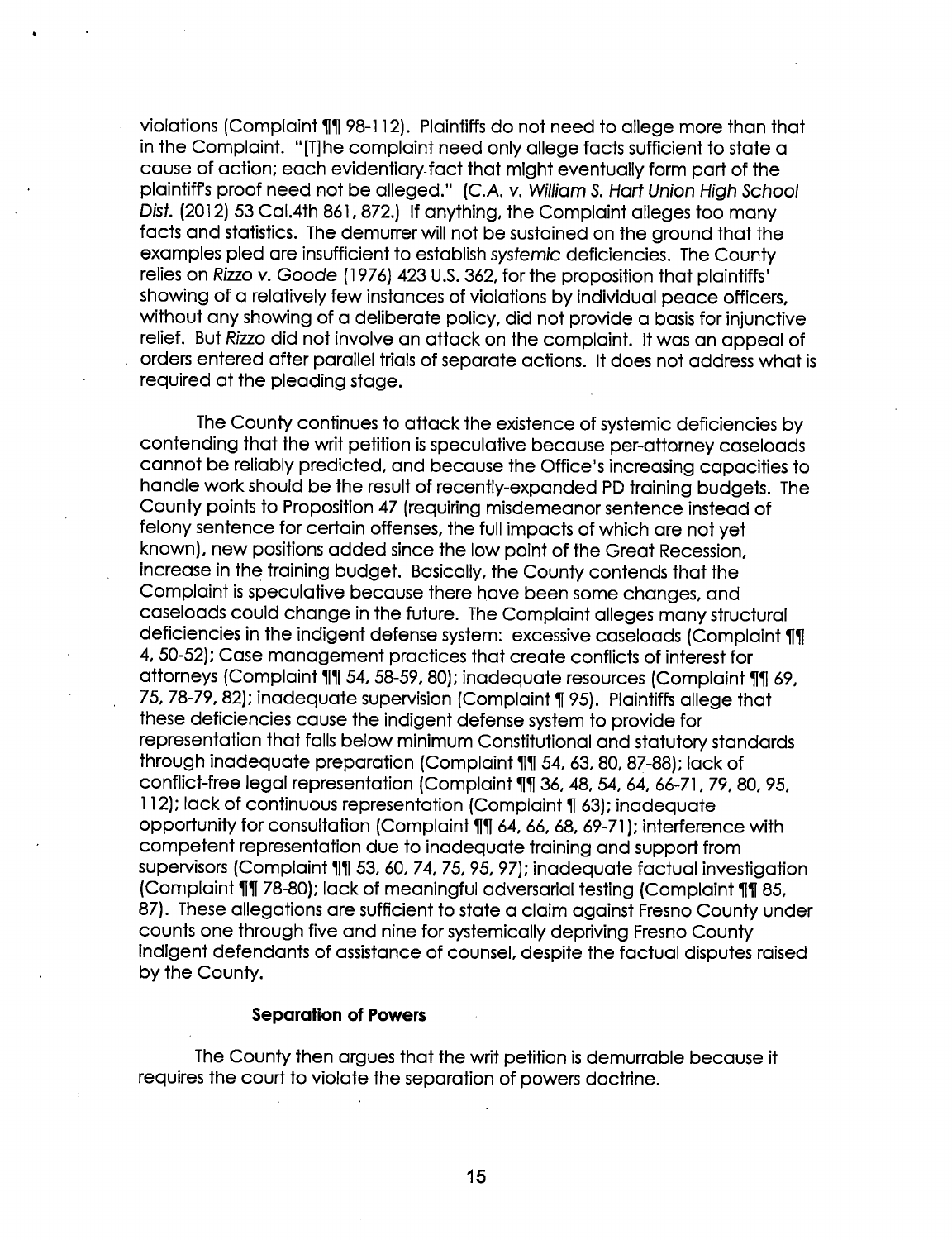violations (Complaint 1(1) 98—l 12). Plaintiffs do not need to allege more than that in the Complaint. "[T]he complaint need only allege facts sufficient to state a cause of action; each evidentiary fact that might eventually form part of the plaintiff's proof need not be alleged." (C.A. v. William 8. Hart Union High School Dist. (2012) 53 Cal.4th 861, 872.) If anything, the Complaint alleges too many facts and statistics. The demurrer will not be sustained on the ground that the examples pled are insufficient to establish systemic deficiencies. The County relies on Rizzo v. Goode (i 976) 423 U.S. 362, for the proposition that plaintiffs' showing of a relatively few instances of violations by individual peace officers, without any showing of a deliberate policy, did not provide a basis for injunctive relief. But Rizzo did not involve an attack on the complaint. It was an appeal of . orders entered after parallel trials of separate actions. It does not address what is required at the pleading stage.

The County continues to attack the existence of systemic deficiencies by contending that the writ petition is speculative because per-attorney caseloads cannot be reliably predicted, and because the Office's increasing capacities to handle work should be the result of recently-expanded PD training budgets. The County points to Proposition 47 (requiring misdemeanor sentence instead of felony sentence for certain offenses, the full impacts of which are not yet known), new positions added since the low point of the Great Recession, increase in the training budget. Basically, the County contends that the Complaint is speculative because there have been some changes, and caseloads could change in the future. The Complaint alleges many structural deficiencies in the indigent defense system: excessive caseloads (Complaint 11) 4, 50-52); Case management practices that create conflicts of interest for attorneys (Complaint 11 54, 58-59, 80); inadequate resources (Complaint 11 69, 75, 78-79, 82); inadequate supervision (Complaint 195). Plaintiffs allege that these deficiencies cause the indigent defense system to provide for representation that falls below minimum Constitutional and statutory standards through inadequate preparation (Complaint 11 54, 63, 80, 87-88); lack of conflict-free legal representation (Complaint 11 36, 48, 54, 64, 66-71, 79, 80, 95, 112); lack of continuous representation (Complaint ¶ 63); inadequate opportunity for consultation (Complaint 11 64, 66, 68, 69-71); interference with competent representation due to inadequate training and support from supervisors (Complaint 111 53, 60, 74, 75, 95, 97); inadequate factual investigation (Complaint 11| 78-80); lack of meaningful adversarial testing (Complaint 11| 85, 87). These allegations are sufficient to state a claim against Fresno County under counts one through five and nine for systemically depriving Fresno County indigent defendants of assistance of counsel, despite the factual disputes raised by the County.

# Separation of Powers

The County then argues that the writ petition is demurrable because it requires the court to violate the separation of powers doctrine.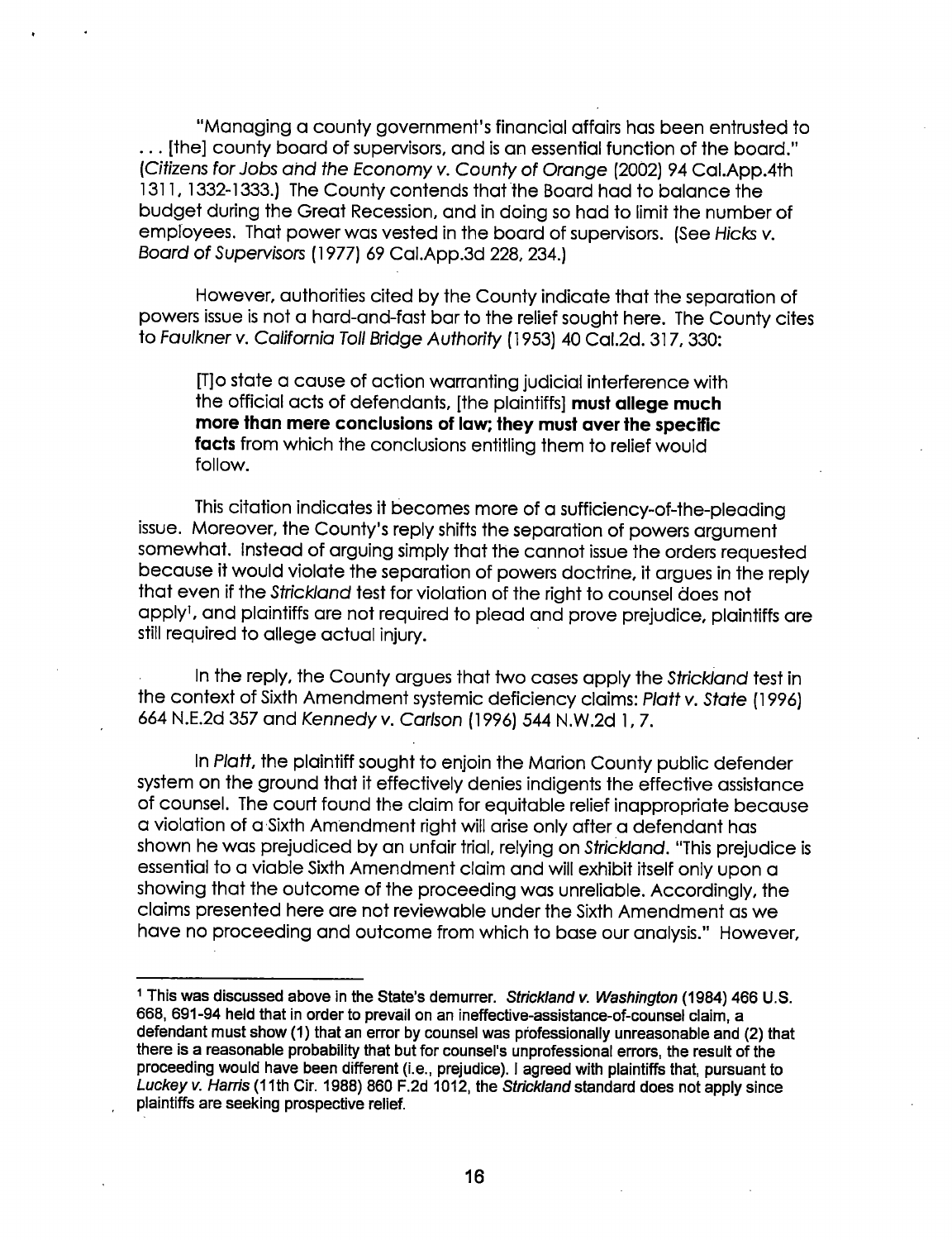"Managing a county government's financial affairs has been entrusted To ... [the] county board of supervisors, and is an essential function of the board." (Citizens for Jobs and the Economy v. County of Orange (2002) 94 Cal.App.4th 1311, 1332-1333.) The County contends that the Board had to balance the budget during the Great Recession, and in doing so had to limit the number of employees. That power was vested in the board of supervisors. (See Hicks v. Board of Supervisors (i 977) 69 Cal.App.3d 228, 234.)

However, authorities cited by the County indicate that the separation of powers issue is not a hard-and-fast bar to the relief sought here. The County cites To Faulkner v. California Toll Bridge Authority ( l 953) 40 Cal.2d. 3i 7, 330:

[T]o state a cause of action warranting judicial interference with the official acts of defendants, [the plaintiffs] must allege much more than mere conclusions of law; they must aver the specific facts from which the conclusions entitling them to relief would follow.

This citation indicates it becomes more of a sufficiency-of-the-pleading issue. Moreover, the County's reply shifts the separation of powers argument somewhat. Instead of arguing simply that the cannot issue the orders requested because it would violate the separation of powers doctrine, it argues in the reply that even if the Strickland test for violation of the right to counsel does not apply<sup>1</sup>, and plaintiffs are not required to plead and prove prejudice, plaintiffs are still required to allege actual injury.

In the reply, the County argues that two cases apply the Strickland test in the context of Sixth Amendment systemic deficiency claims: Platt v. State (1996) 664 N.E.2d 357 and Kennedy v. Carlson (i 996) 544 N.W.2d i, 7.

ln Platt, the plaintiff sought to enjoin The Marion County public defender system on the ground that it effectively denies indigents the effective assistance of counsel. The court found the claim for equitable relief inappropriate because a violation of a-Sixth Amendment right will arise only aftera defendant has shown he was prejudiced by an unfair trial, relying on Strickland. "This prejudice is essential to a viable Sixth Amendment claim and will exhibit itself only upon a showing that the outcome of the proceeding was unreliable. Accordingly, the claims presented here are not reviewable under the Sixth Amendment as we have no proceeding and outcome from which to base our analysis." However,

<sup>&</sup>lt;sup>1</sup> This was discussed above in the State's demurrer. Strickland v. Washington (1984) 466 U.S. 668, 691-94 held that in order to prevail on an ineffective-assistance-of-counsel claim, a defendant must show (1) that an error by counsel was professionally unreasonable and (2) that there is a reasonable probability that but for counsel's unprofessional errors, the result of the proceeding would have been different (i.e., prejudice). l agreed with plaintiffs that, pursuant to Luckey v. Harris (11th Cir. 1988) 860 F.2d 1012, the Strickland standard does not apply since plaintiffs are seeking prospective relief.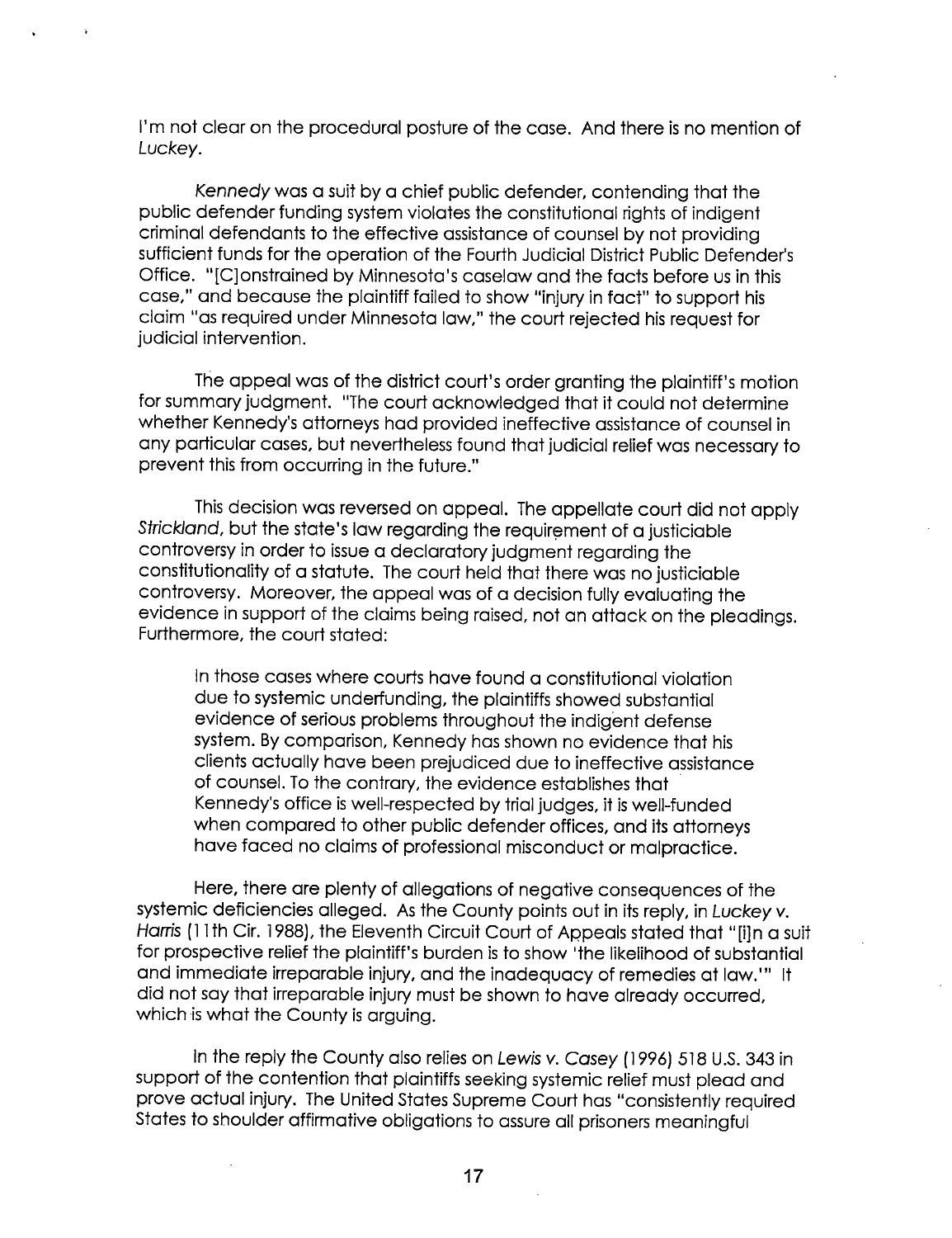I'm not clear on the procedural posture of the case. And there is no mention of Luckey.

Kennedy was a suit by a chief public defender, contending that the public defender funding system violates the constitutional rights of indigent criminal defendants to the effective assistance of counsel by not providing sufficient funds for the operation of the Fourth Judicial District Public Defender's Office. "[C]onstrained by Minnesota's caselaw and the facts before us in this case," and because the plaintiff failed to show "injury in fact" to support his claim "as required under Minnesota law," the court rejected his request for iudicial intervention.

The appeal was of the district court's order granting the plaintiff's motion for summary judgment. "The court acknowledged that it could not determine whether Kennedy's attorneys had provided ineffective assistance of counsel in any particular cases, but nevertheless found that judicial relief was necessary to prevent this from occurring in the future."

This decision was reversed on appeal. The appellate court did not apply Strickland, but the state's law regarding the requirement of a justiciable controversy in order to issue a declaratory judgment regarding the constitutionality of a statute. The court held that there was no justiciable controversy. Moreover, the appeal was of a decision fully evaluating the evidence in support of the claims being raised, not an attack on the pleadings. Furthermore, the court stated:

In those cases where courts have found a constitutional violation due to systemic underfunding, the plaintiffs showed substantial evidence of serious problems throughout the indigent defense system. By comparison, Kennedy has shown no evidence that his clients actually have been prejudiced due to ineffective assistance of counsel. To the contrary, the evidence establishes that Kennedy's office is well-respected by trial judges, it is well-funded when compared to other public defender offices, and its attorneys have faced no claims of professional misconduct or malpractice.

Here, there are plenty of allegations of negative consequences of the systemic deficiencies alleged. As the County points out in its reply, in Luckey v. Harris (11th Cir. 1988), the Eleventh Circuit Court of Appeals stated that "[i]n a suit for prospective relief the plaintiff's burden is to show 'the likelihood of substantial and immediate irreparable injury, and the inadequacy of remedies at law."" It did not say that irreparable injury must be shown to have already occurred, which is what the County is arguing.

In the reply the County also relies on Lewis v. Casey (1996) 518 U.S. 343 in support of the contention that plaintiffs seeking systemic relief must plead and prove actual injury. The United States Supreme Court has "consistently required States to shoulder affirmative obligations to assure all prisoners meaningful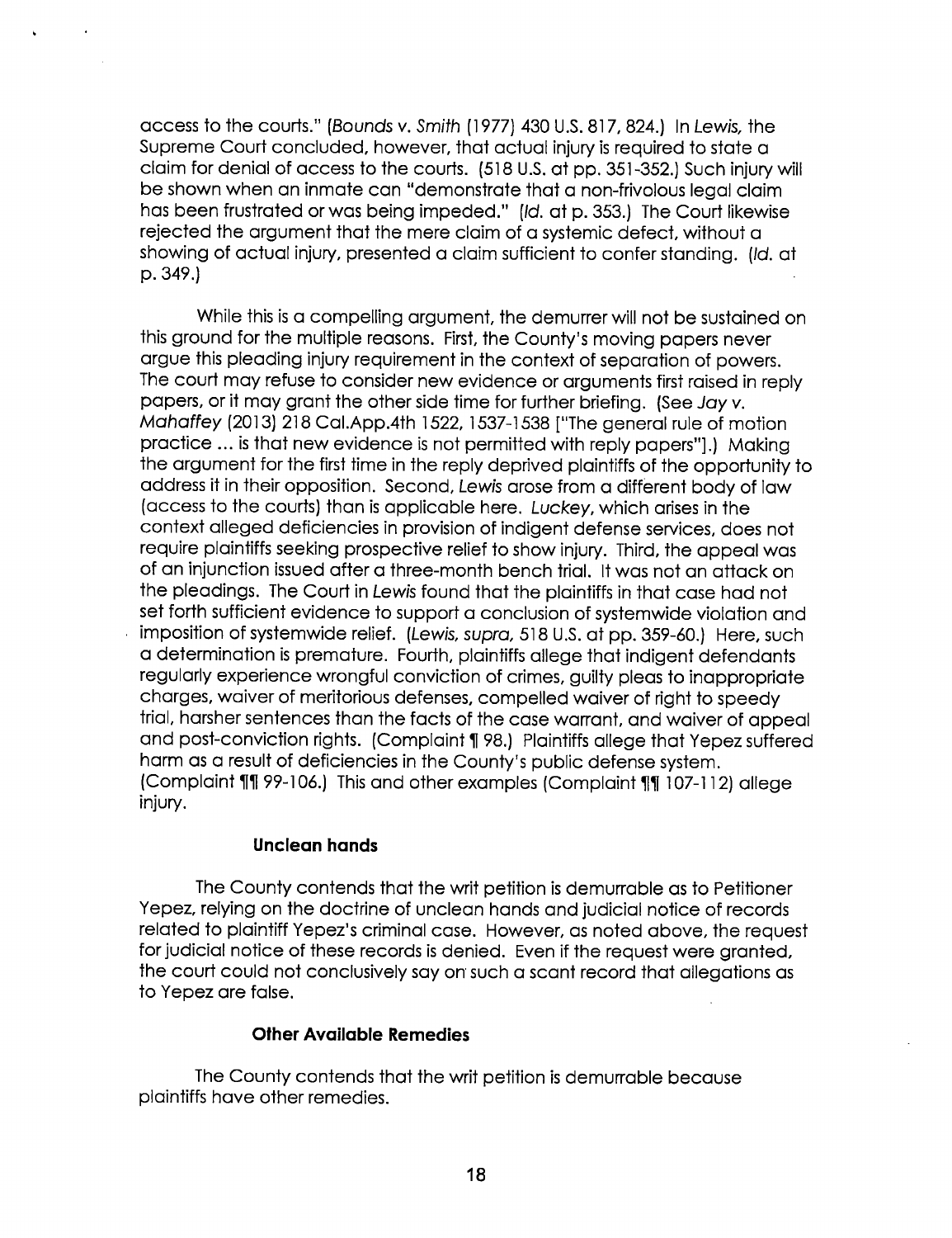access to the courts." (Bounds v. Smith (1977) 430 U.S. 817, 824.) In Lewis, the Supreme Court concluded, however, that actual injury is required to state a claim for denial of access to the courts. (518 U.S. at pp. 351-352.) Such injury will be shown when an inmate can "demonstrate that a non-frivolous legal claim has been frustrated or was being impeded." (Id. at p. 353.) The Court likewise rejected the argument that the mere claim of a systemic defect, without a showing of actual injury, presented a claim sufficient to confer standing. (Id. at<br>p. 349.)  $p. 349.$ ) -  $p. 349.$ ) -  $p. 349.$ 

While this is a compelling argument, the demurrer will not be sustained on this ground for the multiple reasons. First, the County's moving papers never argue this pleading injury requirement in the context of separation of powers. The court may refuse to consider new evidence or arguments first raised in reply papers, or it may grant the other side time for further briefing. (See Jay v. Mahaffey (2013) 218 Cal.App.4th 1522, 1537-1538 ["The general rule of motion practice ... is that new evidence is not permitted with reply papers"].) Making the argument for the first time in the reply deprived plaintiffs of the opportunity to address it in their opposition. Second, Lewis arose from a different body of law (access to the courts) than is applicable here. Luckey, which arises in the context alleged deficiencies in provision of indigent defense services, does not require plaintiffs seeking prospective relief to show injury. Third, the appeal was of an injunction issued after a three-month bench trial. It was not an attack on the pleadings. The Court in Lewis found that the plaintiffs in that case had not set forth sufficient evidence to support a conclusion of systemwide violation and imposition of systemwide relief. (Lewis, supra, 518 U.S. at pp. 359-60.) Here, such a determination is premature. Fourth, plaintiffs allege that indigent defendants regularly experience wrongful conviction of crimes, guilty pleas to inappropriate charges, waiver of meritorious defenses, compelled waiver of right to speedy trial, harsher sentences than the facts of the case warrant, and waiver of appeal and post-conviction rights. (Complaint 198.) Plaintiffs allege that Yepez suffered harm as a result of deficiencies in the County's public defense system. (Complaint 111 99-106.) This and other examples (Complaint 111 107-112) allege injury.

# Unclean hands

The County contends that the writ petition is demurrable as to Petitioner Yepez, relying on the doctrine of unclean hands and judicial notice of records related to plaintiff Yepez's criminal case. However, as noted above, the request for judicial notice of these records is denied. Even if the request were granted, the court could not conclusively say on such a scant record that allegations as to Yepez are false.

# **Other Available Remedies**

The County contends that the writ petition is demurrable because plaintiffs have other remedies.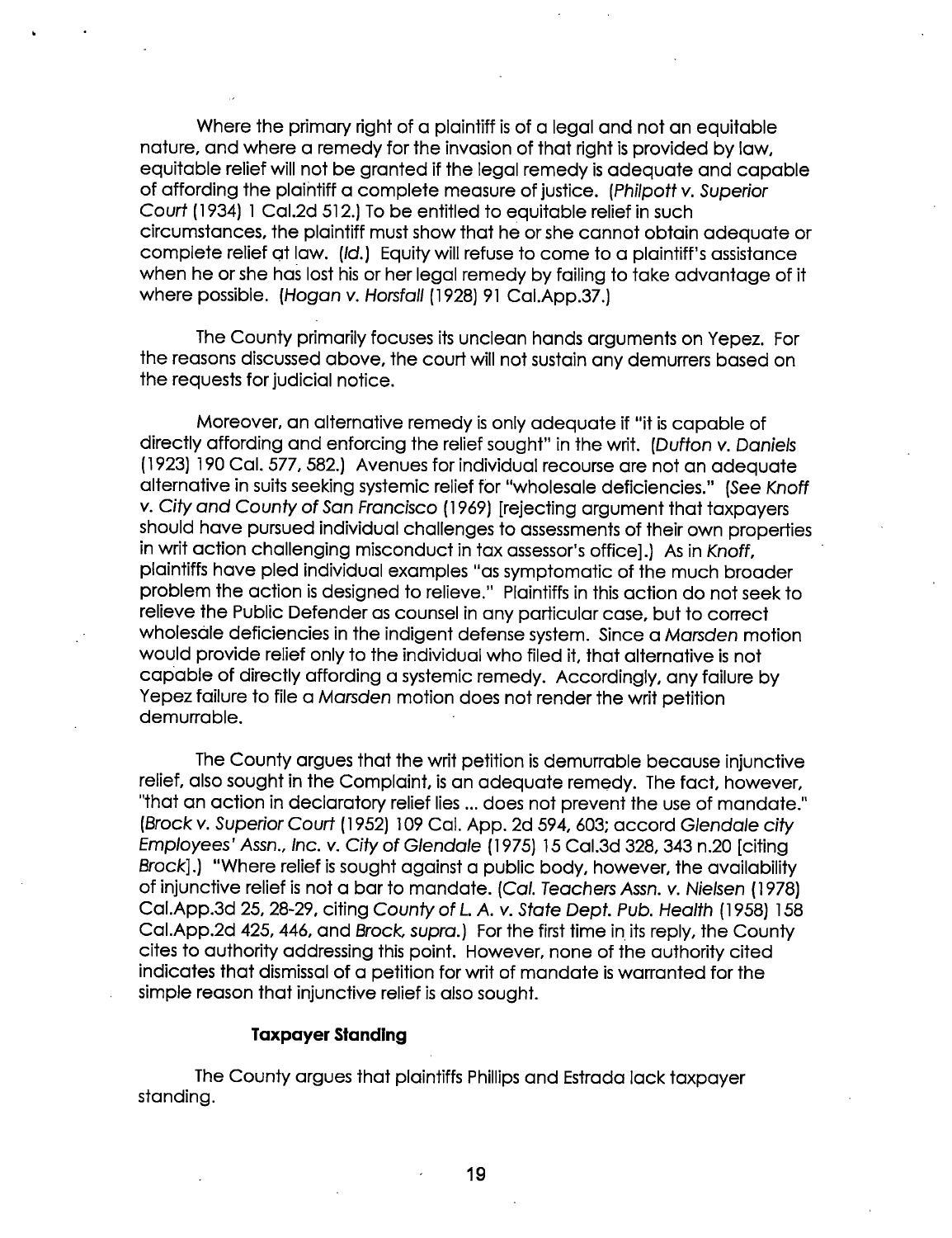Where the primary right of a plaintiff is of a legal and not an equitable nature, and where a remedy for the invasion of that right is provided by law, equitable relief will not be granted if the legal remedy is adequate and capable of affording the plaintiff a complete measure of justice. (Philpott v. Superior Court (1934) 1 Cal.2d 512.) To be entitled to equitable relief in such circumstances, the plaintiff must show that he or she cannot obtain adequate or complete relief at law. (Id.) Equity will refuse to come to a plaintiff's assistance when he or she has lost his or her legal remedy by failing to take advantage of it where possible. (Hogan v. Horsfall (1928) 91 Cal.App.37.)

The County primarily focuses its unclean hands arguments on Yepez. For the reasons discussed above, the court will not sustain any demurrers based on the requests for judicial notice.

Moreover, an alternative remedy is only adequate if "it is capable of directly affording and enforcing the relief sought" in the writ. (Dufton v. Daniels (1923) 190 Cal. 577, 582.) Avenues for individual recourse are not an adequate alternative in suits seeking systemic relief far "wholesale deficiencies." (See Knoff v. City and County of San Francisco (1969) [rejecting argument that taxpayers should have pursued individual challenges to assessments of their own properties in writ action challenging misconduct in tax assessor's office].) As in Knoff, ' plaintiffs have pled individual examples "as symptomatic of the much broader problem the action is designed to relieve." Plaintiffs in this action do not seek to relieve the Public Defender as counsel in any particular case, but to correct wholesale deficiencies in the indigent defense system. Since a Marsden motion would provide relief only to the individual who filed it, that alternative is not capable of directly affording a systemic remedy. Accordingly, any failure by Yepez failure to file a Marsden motion does not render the writ petition demurrable.

The County argues that the writ petition is demurrable because injunctive relief, also sought in the Complaint, is an adequate remedy. The fact, however, "that an action in declaratory relief lies ... does not prevent the use of mandate." (Brock v. Superior Court (1952) 109 Cal. App. 2d 594, 603; accord Glendale city Employees' Assn., Inc. v. City of Glendale (1 975) l5 Cal.3d 328, 343 n.20 [citing Brock].) "Where relief is sought against a public body, however, the availability of injunctive relief is not a bar to mandate. (Cal. Teachers Assn. v. Nielsen (l 978) Cal.App.3d 25, 28-29, citing County of L. A. v. State Dept. Pub. Health (1958) 158 Cal.App.2d 425, 446, and Brock, supra.) For the first time in its reply, the County cites to authority addressing this point. However, none of the authority cited indicates that dismissal of a petition for writ of mandate is warranted for the simple reason that injunctive relief is also sought.

### Taxpayer Standlng

The County argues that plaintiffs Phillips and Estrada lack taxpayer standing.